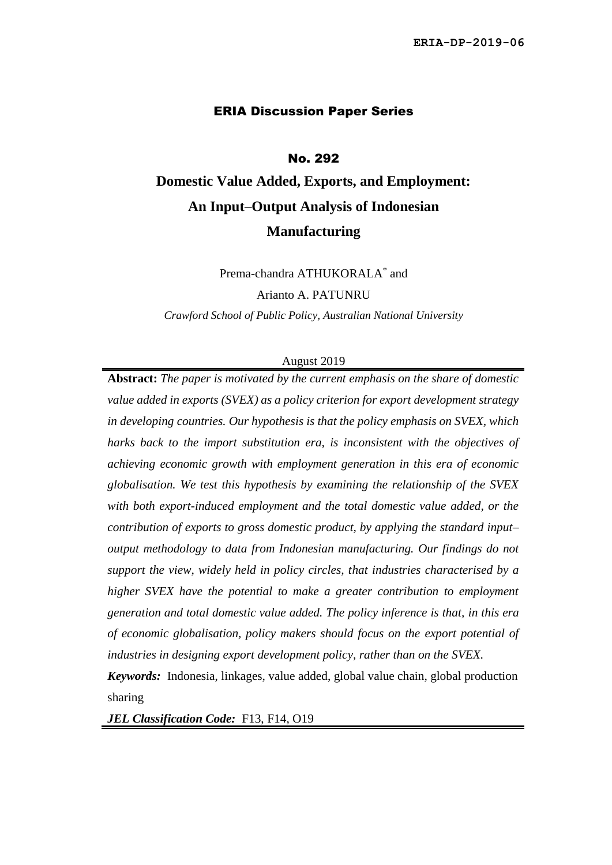#### ERIA Discussion Paper Series

#### No. 292

# **Domestic Value Added, Exports, and Employment: An Input–Output Analysis of Indonesian Manufacturing**

Prema-chandra ATHUKORALA<sup>\*</sup> and

Arianto A. PATUNRU

*Crawford School of Public Policy, Australian National University*

#### August 2019

**Abstract:** *The paper is motivated by the current emphasis on the share of domestic value added in exports (SVEX) as a policy criterion for export development strategy in developing countries. Our hypothesis is that the policy emphasis on SVEX, which harks back to the import substitution era, is inconsistent with the objectives of achieving economic growth with employment generation in this era of economic globalisation. We test this hypothesis by examining the relationship of the SVEX with both export-induced employment and the total domestic value added, or the contribution of exports to gross domestic product, by applying the standard input– output methodology to data from Indonesian manufacturing. Our findings do not support the view, widely held in policy circles, that industries characterised by a higher SVEX have the potential to make a greater contribution to employment generation and total domestic value added. The policy inference is that, in this era of economic globalisation, policy makers should focus on the export potential of industries in designing export development policy, rather than on the SVEX.*

*Keywords:* Indonesia, linkages, value added, global value chain, global production sharing

*JEL Classification Code:* F13, F14, O19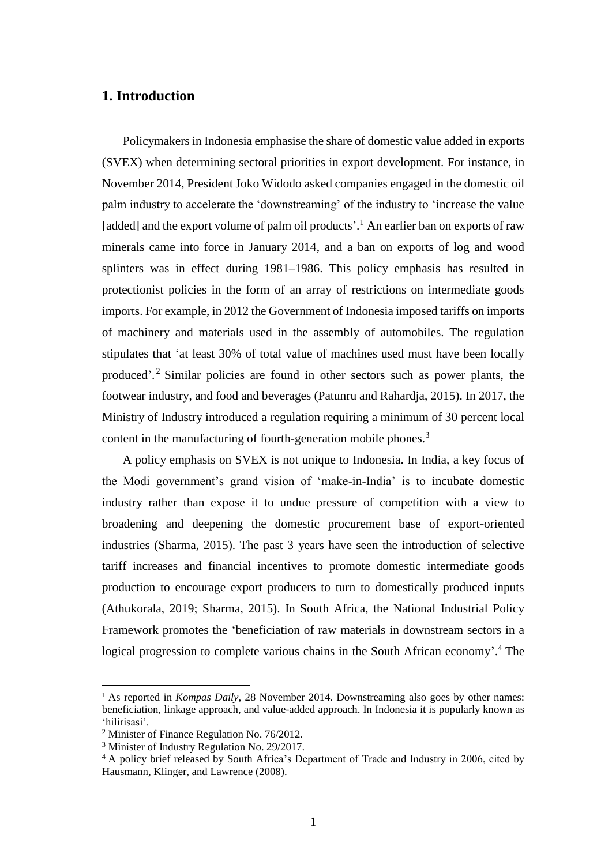### **1. Introduction**

Policymakers in Indonesia emphasise the share of domestic value added in exports (SVEX) when determining sectoral priorities in export development. For instance, in November 2014, President Joko Widodo asked companies engaged in the domestic oil palm industry to accelerate the 'downstreaming' of the industry to 'increase the value [added] and the export volume of palm oil products'.<sup>1</sup> An earlier ban on exports of raw minerals came into force in January 2014, and a ban on exports of log and wood splinters was in effect during 1981–1986. This policy emphasis has resulted in protectionist policies in the form of an array of restrictions on intermediate goods imports. For example, in 2012 the Government of Indonesia imposed tariffs on imports of machinery and materials used in the assembly of automobiles. The regulation stipulates that 'at least 30% of total value of machines used must have been locally produced'. <sup>2</sup> Similar policies are found in other sectors such as power plants, the footwear industry, and food and beverages (Patunru and Rahardja, 2015). In 2017, the Ministry of Industry introduced a regulation requiring a minimum of 30 percent local content in the manufacturing of fourth-generation mobile phones.<sup>3</sup>

A policy emphasis on SVEX is not unique to Indonesia. In India, a key focus of the Modi government's grand vision of 'make-in-India' is to incubate domestic industry rather than expose it to undue pressure of competition with a view to broadening and deepening the domestic procurement base of export-oriented industries (Sharma, 2015). The past 3 years have seen the introduction of selective tariff increases and financial incentives to promote domestic intermediate goods production to encourage export producers to turn to domestically produced inputs (Athukorala, 2019; Sharma, 2015). In South Africa, the National Industrial Policy Framework promotes the 'beneficiation of raw materials in downstream sectors in a logical progression to complete various chains in the South African economy'.<sup>4</sup> The

<sup>1</sup> As reported in *Kompas Daily*, 28 November 2014. Downstreaming also goes by other names: beneficiation, linkage approach, and value-added approach. In Indonesia it is popularly known as 'hilirisasi'.

<sup>2</sup> Minister of Finance Regulation No. 76/2012.

<sup>&</sup>lt;sup>3</sup> Minister of Industry Regulation No. 29/2017.

<sup>4</sup> A policy brief released by South Africa's Department of Trade and Industry in 2006, cited by Hausmann, Klinger, and Lawrence (2008).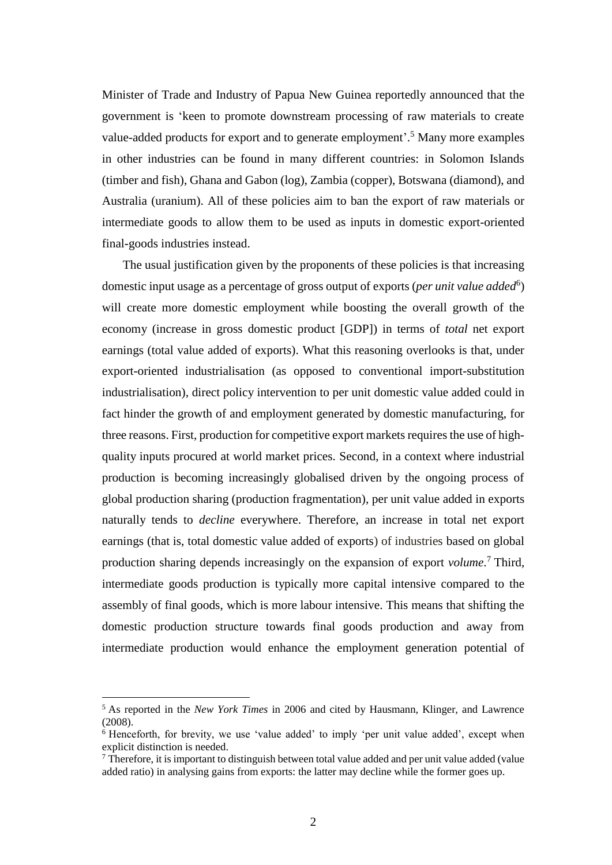Minister of Trade and Industry of Papua New Guinea reportedly announced that the government is 'keen to promote downstream processing of raw materials to create value-added products for export and to generate employment'.<sup>5</sup> Many more examples in other industries can be found in many different countries: in Solomon Islands (timber and fish), Ghana and Gabon (log), Zambia (copper), Botswana (diamond), and Australia (uranium). All of these policies aim to ban the export of raw materials or intermediate goods to allow them to be used as inputs in domestic export-oriented final-goods industries instead.

The usual justification given by the proponents of these policies is that increasing domestic input usage as a percentage of gross output of exports (*per unit value added*<sup>6</sup>) will create more domestic employment while boosting the overall growth of the economy (increase in gross domestic product [GDP]) in terms of *total* net export earnings (total value added of exports). What this reasoning overlooks is that, under export-oriented industrialisation (as opposed to conventional import-substitution industrialisation), direct policy intervention to per unit domestic value added could in fact hinder the growth of and employment generated by domestic manufacturing, for three reasons. First, production for competitive export markets requires the use of highquality inputs procured at world market prices. Second, in a context where industrial production is becoming increasingly globalised driven by the ongoing process of global production sharing (production fragmentation), per unit value added in exports naturally tends to *decline* everywhere. Therefore, an increase in total net export earnings (that is, total domestic value added of exports) of industries based on global production sharing depends increasingly on the expansion of export *volume*. <sup>7</sup> Third, intermediate goods production is typically more capital intensive compared to the assembly of final goods, which is more labour intensive. This means that shifting the domestic production structure towards final goods production and away from intermediate production would enhance the employment generation potential of

<sup>5</sup> As reported in the *New York Times* in 2006 and cited by Hausmann, Klinger, and Lawrence (2008).

 $6$  Henceforth, for brevity, we use 'value added' to imply 'per unit value added', except when explicit distinction is needed.

 $\frac{7}{7}$  Therefore, it is important to distinguish between total value added and per unit value added (value) added ratio) in analysing gains from exports: the latter may decline while the former goes up.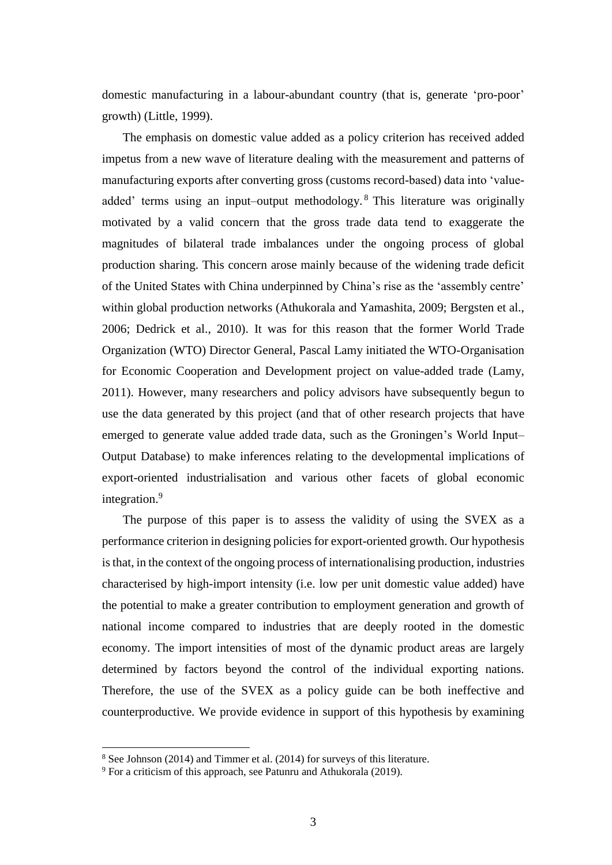domestic manufacturing in a labour-abundant country (that is, generate 'pro-poor' growth) (Little, 1999).

The emphasis on domestic value added as a policy criterion has received added impetus from a new wave of literature dealing with the measurement and patterns of manufacturing exports after converting gross (customs record-based) data into 'valueadded' terms using an input–output methodology.<sup>8</sup> This literature was originally motivated by a valid concern that the gross trade data tend to exaggerate the magnitudes of bilateral trade imbalances under the ongoing process of global production sharing. This concern arose mainly because of the widening trade deficit of the United States with China underpinned by China's rise as the 'assembly centre' within global production networks (Athukorala and Yamashita, 2009; Bergsten et al., 2006; Dedrick et al., 2010). It was for this reason that the former World Trade Organization (WTO) Director General, Pascal Lamy initiated the WTO-Organisation for Economic Cooperation and Development project on value-added trade (Lamy, 2011). However, many researchers and policy advisors have subsequently begun to use the data generated by this project (and that of other research projects that have emerged to generate value added trade data, such as the Groningen's World Input– Output Database) to make inferences relating to the developmental implications of export-oriented industrialisation and various other facets of global economic integration. 9

The purpose of this paper is to assess the validity of using the SVEX as a performance criterion in designing policies for export-oriented growth. Our hypothesis is that, in the context of the ongoing process of internationalising production, industries characterised by high-import intensity (i.e. low per unit domestic value added) have the potential to make a greater contribution to employment generation and growth of national income compared to industries that are deeply rooted in the domestic economy. The import intensities of most of the dynamic product areas are largely determined by factors beyond the control of the individual exporting nations. Therefore, the use of the SVEX as a policy guide can be both ineffective and counterproductive. We provide evidence in support of this hypothesis by examining

<sup>8</sup> See Johnson (2014) and Timmer et al. (2014) for surveys of this literature.

 $9$  For a criticism of this approach, see Patunru and Athukorala (2019).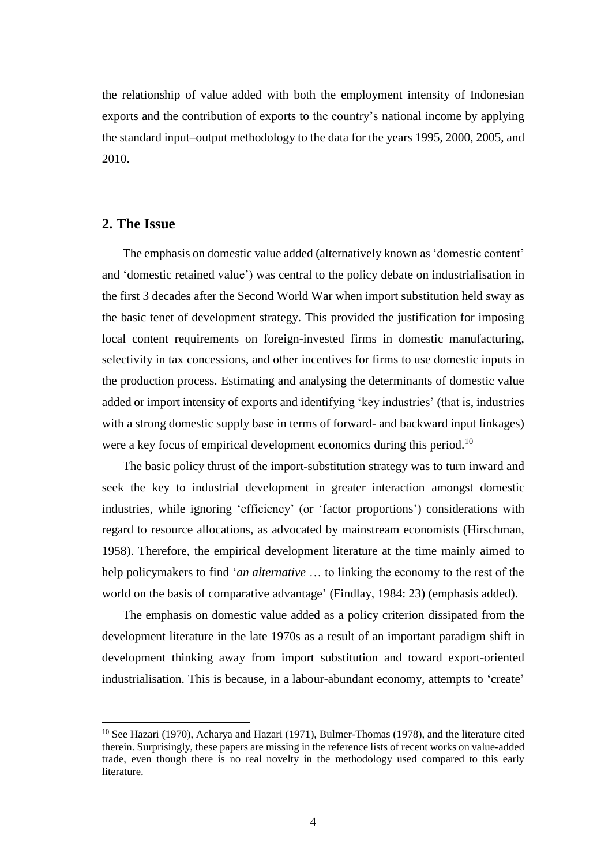the relationship of value added with both the employment intensity of Indonesian exports and the contribution of exports to the country's national income by applying the standard input–output methodology to the data for the years 1995, 2000, 2005, and 2010.

#### **2. The Issue**

The emphasis on domestic value added (alternatively known as 'domestic content' and 'domestic retained value') was central to the policy debate on industrialisation in the first 3 decades after the Second World War when import substitution held sway as the basic tenet of development strategy. This provided the justification for imposing local content requirements on foreign-invested firms in domestic manufacturing, selectivity in tax concessions, and other incentives for firms to use domestic inputs in the production process. Estimating and analysing the determinants of domestic value added or import intensity of exports and identifying 'key industries' (that is, industries with a strong domestic supply base in terms of forward- and backward input linkages) were a key focus of empirical development economics during this period.<sup>10</sup>

The basic policy thrust of the import-substitution strategy was to turn inward and seek the key to industrial development in greater interaction amongst domestic industries, while ignoring 'efficiency' (or 'factor proportions') considerations with regard to resource allocations, as advocated by mainstream economists (Hirschman, 1958). Therefore, the empirical development literature at the time mainly aimed to help policymakers to find '*an alternative* … to linking the economy to the rest of the world on the basis of comparative advantage' (Findlay, 1984: 23) (emphasis added).

The emphasis on domestic value added as a policy criterion dissipated from the development literature in the late 1970s as a result of an important paradigm shift in development thinking away from import substitution and toward export-oriented industrialisation. This is because, in a labour-abundant economy, attempts to 'create'

<sup>&</sup>lt;sup>10</sup> See Hazari (1970), Acharya and Hazari (1971), Bulmer-Thomas (1978), and the literature cited therein. Surprisingly, these papers are missing in the reference lists of recent works on value-added trade, even though there is no real novelty in the methodology used compared to this early literature.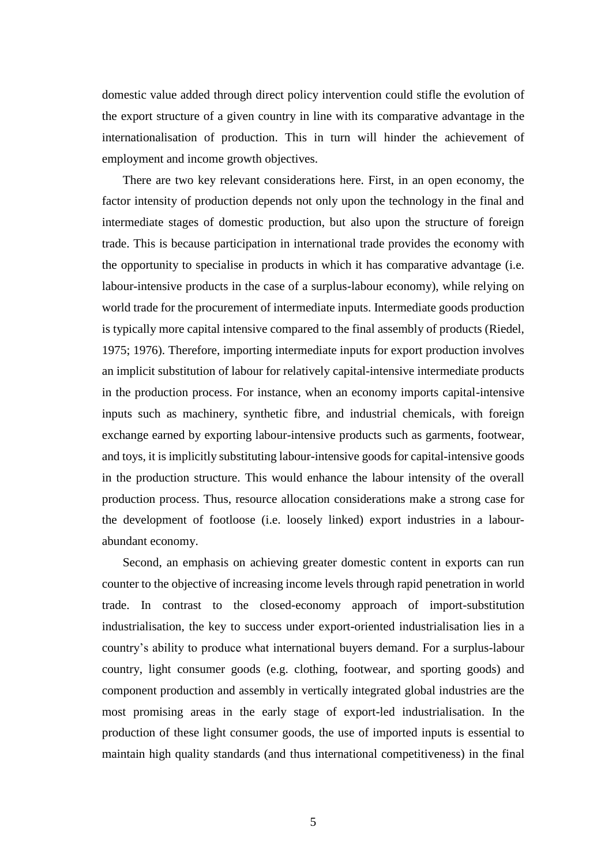domestic value added through direct policy intervention could stifle the evolution of the export structure of a given country in line with its comparative advantage in the internationalisation of production. This in turn will hinder the achievement of employment and income growth objectives.

There are two key relevant considerations here. First, in an open economy, the factor intensity of production depends not only upon the technology in the final and intermediate stages of domestic production, but also upon the structure of foreign trade. This is because participation in international trade provides the economy with the opportunity to specialise in products in which it has comparative advantage (i.e. labour-intensive products in the case of a surplus-labour economy), while relying on world trade for the procurement of intermediate inputs. Intermediate goods production is typically more capital intensive compared to the final assembly of products (Riedel, 1975; 1976). Therefore, importing intermediate inputs for export production involves an implicit substitution of labour for relatively capital-intensive intermediate products in the production process. For instance, when an economy imports capital-intensive inputs such as machinery, synthetic fibre, and industrial chemicals, with foreign exchange earned by exporting labour-intensive products such as garments, footwear, and toys, it is implicitly substituting labour-intensive goods for capital-intensive goods in the production structure. This would enhance the labour intensity of the overall production process. Thus, resource allocation considerations make a strong case for the development of footloose (i.e. loosely linked) export industries in a labourabundant economy.

Second, an emphasis on achieving greater domestic content in exports can run counter to the objective of increasing income levels through rapid penetration in world trade. In contrast to the closed-economy approach of import-substitution industrialisation, the key to success under export-oriented industrialisation lies in a country's ability to produce what international buyers demand. For a surplus-labour country, light consumer goods (e.g. clothing, footwear, and sporting goods) and component production and assembly in vertically integrated global industries are the most promising areas in the early stage of export-led industrialisation. In the production of these light consumer goods, the use of imported inputs is essential to maintain high quality standards (and thus international competitiveness) in the final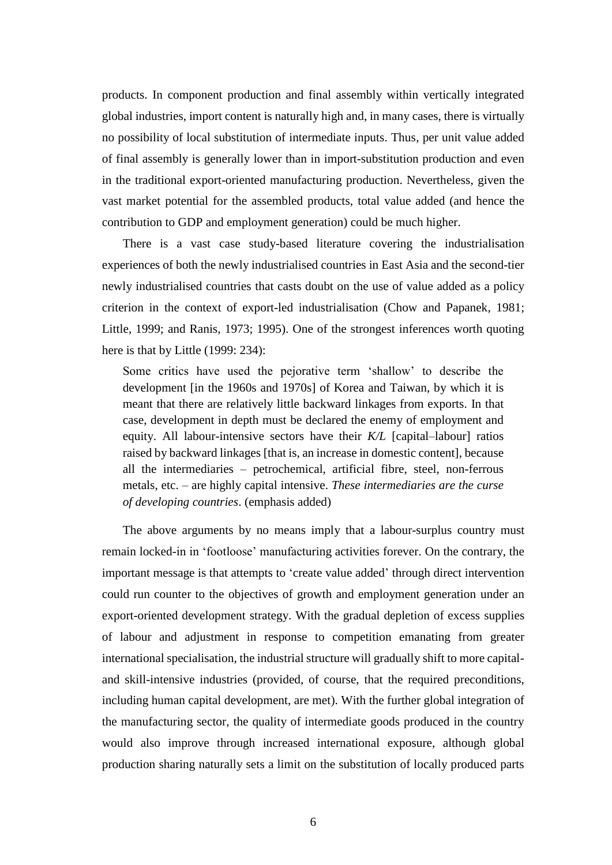products. In component production and final assembly within vertically integrated global industries, import content is naturally high and, in many cases, there is virtually no possibility of local substitution of intermediate inputs. Thus, per unit value added of final assembly is generally lower than in import-substitution production and even in the traditional export-oriented manufacturing production. Nevertheless, given the vast market potential for the assembled products, total value added (and hence the contribution to GDP and employment generation) could be much higher.

There is a vast case study-based literature covering the industrialisation experiences of both the newly industrialised countries in East Asia and the second-tier newly industrialised countries that casts doubt on the use of value added as a policy criterion in the context of export-led industrialisation (Chow and Papanek, 1981; Little, 1999; and Ranis, 1973; 1995). One of the strongest inferences worth quoting here is that by Little (1999: 234):

Some critics have used the pejorative term 'shallow' to describe the development [in the 1960s and 1970s] of Korea and Taiwan, by which it is meant that there are relatively little backward linkages from exports. In that case, development in depth must be declared the enemy of employment and equity. All labour-intensive sectors have their *K/L* [capital–labour] ratios raised by backward linkages [that is, an increase in domestic content], because all the intermediaries – petrochemical, artificial fibre, steel, non-ferrous metals, etc. – are highly capital intensive. *These intermediaries are the curse of developing countries*. (emphasis added)

The above arguments by no means imply that a labour-surplus country must remain locked-in in 'footloose' manufacturing activities forever. On the contrary, the important message is that attempts to 'create value added' through direct intervention could run counter to the objectives of growth and employment generation under an export-oriented development strategy. With the gradual depletion of excess supplies of labour and adjustment in response to competition emanating from greater international specialisation, the industrial structure will gradually shift to more capitaland skill-intensive industries (provided, of course, that the required preconditions, including human capital development, are met). With the further global integration of the manufacturing sector, the quality of intermediate goods produced in the country would also improve through increased international exposure, although global production sharing naturally sets a limit on the substitution of locally produced parts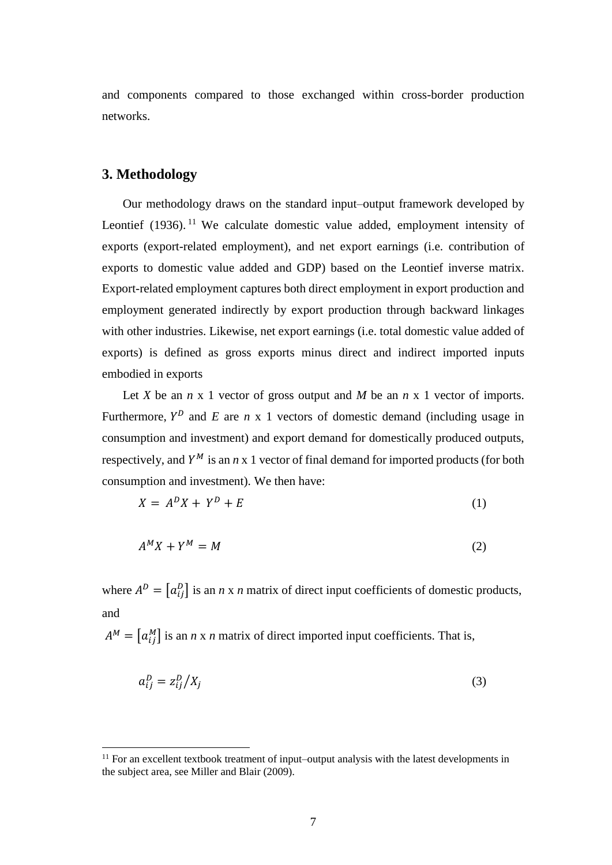and components compared to those exchanged within cross-border production networks.

#### **3. Methodology**

Our methodology draws on the standard input–output framework developed by Leontief (1936).<sup>11</sup> We calculate domestic value added, employment intensity of exports (export-related employment), and net export earnings (i.e. contribution of exports to domestic value added and GDP) based on the Leontief inverse matrix. Export-related employment captures both direct employment in export production and employment generated indirectly by export production through backward linkages with other industries. Likewise, net export earnings (i.e. total domestic value added of exports) is defined as gross exports minus direct and indirect imported inputs embodied in exports

Let *X* be an  $n \times 1$  vector of gross output and *M* be an  $n \times 1$  vector of imports. Furthermore,  $Y^D$  and *E* are *n* x 1 vectors of domestic demand (including usage in consumption and investment) and export demand for domestically produced outputs, respectively, and  $Y^M$  is an  $n \times 1$  vector of final demand for imported products (for both consumption and investment). We then have:

$$
X = A^D X + Y^D + E \tag{1}
$$

$$
A^M X + Y^M = M \tag{2}
$$

where  $A^D = [a_{ij}^D]$  is an *n* x *n* matrix of direct input coefficients of domestic products, and

 $A^M = [a_{ij}^M]$  is an *n* x *n* matrix of direct imported input coefficients. That is,

$$
a_{ij}^D = z_{ij}^D / X_j \tag{3}
$$

 $11$  For an excellent textbook treatment of input–output analysis with the latest developments in the subject area, see Miller and Blair (2009).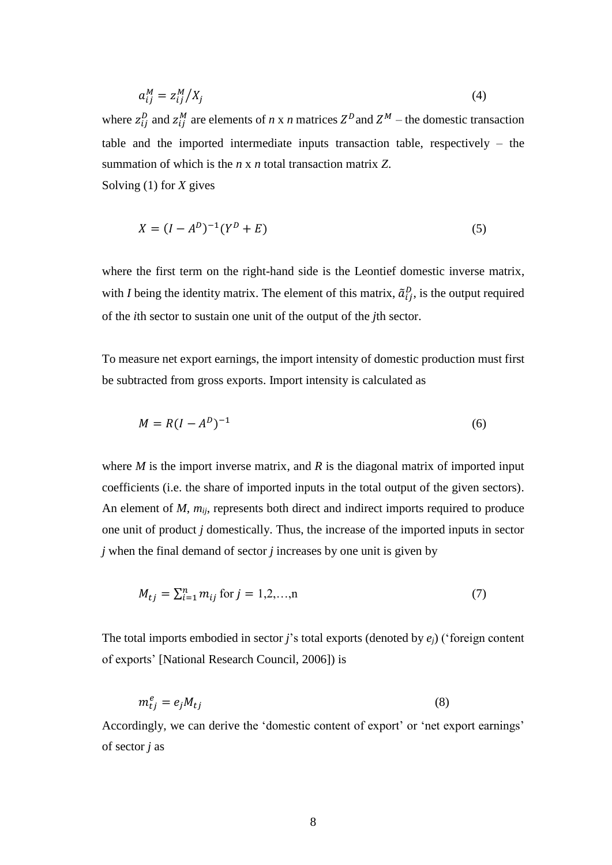$$
a_{ij}^M = z_{ij}^M / X_j \tag{4}
$$

where  $z_{ij}^D$  and  $z_{ij}^M$  are elements of *n* x *n* matrices  $Z^D$  and  $Z^M$  – the domestic transaction table and the imported intermediate inputs transaction table, respectively – the summation of which is the *n* x *n* total transaction matrix *Z*. Solving (1) for *X* gives

$$
X = (I - A^D)^{-1}(Y^D + E)
$$
 (5)

where the first term on the right-hand side is the Leontief domestic inverse matrix, with *I* being the identity matrix. The element of this matrix,  $\tilde{a}_{ij}^p$ , is the output required of the *i*th sector to sustain one unit of the output of the *j*th sector.

To measure net export earnings, the import intensity of domestic production must first be subtracted from gross exports. Import intensity is calculated as

$$
M = R(I - AD)-1
$$
 (6)

where  $M$  is the import inverse matrix, and  $R$  is the diagonal matrix of imported input coefficients (i.e. the share of imported inputs in the total output of the given sectors). An element of *M*, *mij*, represents both direct and indirect imports required to produce one unit of product *j* domestically. Thus, the increase of the imported inputs in sector *j* when the final demand of sector *j* increases by one unit is given by

$$
M_{tj} = \sum_{i=1}^{n} m_{ij} \text{ for } j = 1, 2, ..., n \tag{7}
$$

The total imports embodied in sector *j*'s total exports (denoted by *ej*) ('foreign content of exports' [National Research Council, 2006]) is

$$
m_{tj}^e = e_j M_{tj} \tag{8}
$$

Accordingly, we can derive the 'domestic content of export' or 'net export earnings' of sector *j* as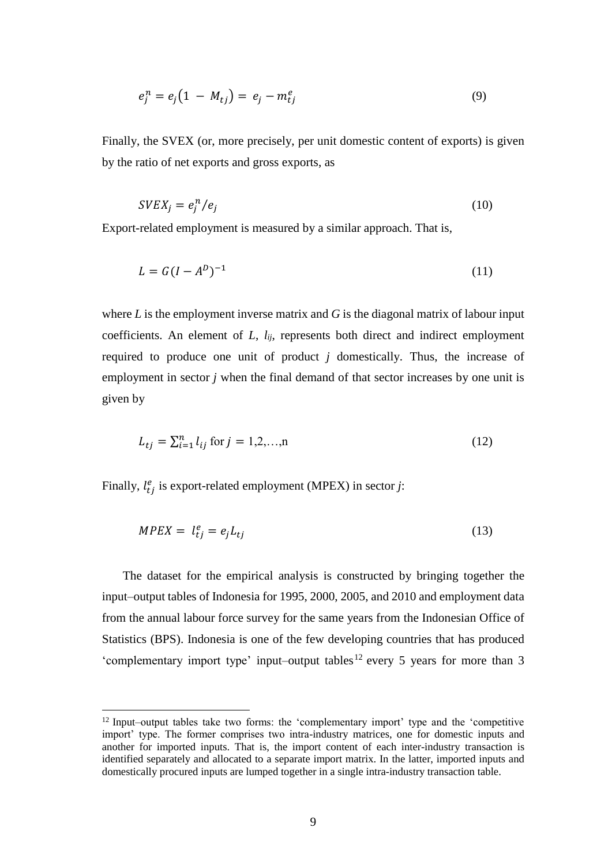$$
e_j^n = e_j \big( 1 - M_{tj} \big) = e_j - m_{tj}^e \tag{9}
$$

Finally, the SVEX (or, more precisely, per unit domestic content of exports) is given by the ratio of net exports and gross exports, as

$$
SVEX_j = e_j^n / e_j \tag{10}
$$

Export-related employment is measured by a similar approach. That is,

$$
L = G(I - AD)-1
$$
\n
$$
(11)
$$

where *L* is the employment inverse matrix and *G* is the diagonal matrix of labour input coefficients. An element of *L*, *lij*, represents both direct and indirect employment required to produce one unit of product *j* domestically. Thus, the increase of employment in sector *j* when the final demand of that sector increases by one unit is given by

$$
L_{tj} = \sum_{i=1}^{n} l_{ij} \text{ for } j = 1, 2, ..., n
$$
 (12)

Finally,  $l_{ij}^e$  is export-related employment (MPEX) in sector *j*:

$$
MPEX = l_{tj}^e = e_j L_{tj} \tag{13}
$$

The dataset for the empirical analysis is constructed by bringing together the input–output tables of Indonesia for 1995, 2000, 2005, and 2010 and employment data from the annual labour force survey for the same years from the Indonesian Office of Statistics (BPS). Indonesia is one of the few developing countries that has produced 'complementary import type' input–output tables<sup>12</sup> every 5 years for more than 3

<sup>&</sup>lt;sup>12</sup> Input–output tables take two forms: the 'complementary import' type and the 'competitive import' type. The former comprises two intra-industry matrices, one for domestic inputs and another for imported inputs. That is, the import content of each inter-industry transaction is identified separately and allocated to a separate import matrix. In the latter, imported inputs and domestically procured inputs are lumped together in a single intra-industry transaction table.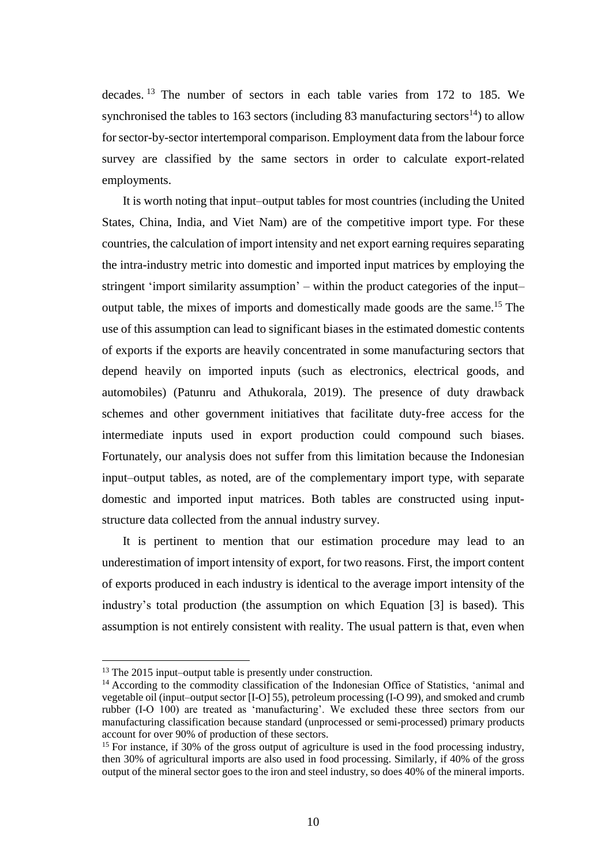decades. <sup>13</sup> The number of sectors in each table varies from 172 to 185. We synchronised the tables to 163 sectors (including 83 manufacturing sectors<sup>14</sup>) to allow for sector-by-sector intertemporal comparison. Employment data from the labour force survey are classified by the same sectors in order to calculate export-related employments.

It is worth noting that input–output tables for most countries (including the United States, China, India, and Viet Nam) are of the competitive import type. For these countries, the calculation of import intensity and net export earning requires separating the intra-industry metric into domestic and imported input matrices by employing the stringent 'import similarity assumption' – within the product categories of the input– output table, the mixes of imports and domestically made goods are the same.<sup>15</sup> The use of this assumption can lead to significant biases in the estimated domestic contents of exports if the exports are heavily concentrated in some manufacturing sectors that depend heavily on imported inputs (such as electronics, electrical goods, and automobiles) (Patunru and Athukorala, 2019). The presence of duty drawback schemes and other government initiatives that facilitate duty-free access for the intermediate inputs used in export production could compound such biases. Fortunately, our analysis does not suffer from this limitation because the Indonesian input–output tables, as noted, are of the complementary import type, with separate domestic and imported input matrices. Both tables are constructed using inputstructure data collected from the annual industry survey.

It is pertinent to mention that our estimation procedure may lead to an underestimation of import intensity of export, for two reasons. First, the import content of exports produced in each industry is identical to the average import intensity of the industry's total production (the assumption on which Equation [3] is based). This assumption is not entirely consistent with reality. The usual pattern is that, even when

<sup>&</sup>lt;sup>13</sup> The 2015 input–output table is presently under construction.

<sup>&</sup>lt;sup>14</sup> According to the commodity classification of the Indonesian Office of Statistics, 'animal and vegetable oil (input–output sector [I-O] 55), petroleum processing (I-O 99), and smoked and crumb rubber (I-O 100) are treated as 'manufacturing'. We excluded these three sectors from our manufacturing classification because standard (unprocessed or semi-processed) primary products account for over 90% of production of these sectors.

<sup>&</sup>lt;sup>15</sup> For instance, if 30% of the gross output of agriculture is used in the food processing industry, then 30% of agricultural imports are also used in food processing. Similarly, if 40% of the gross output of the mineral sector goes to the iron and steel industry, so does 40% of the mineral imports.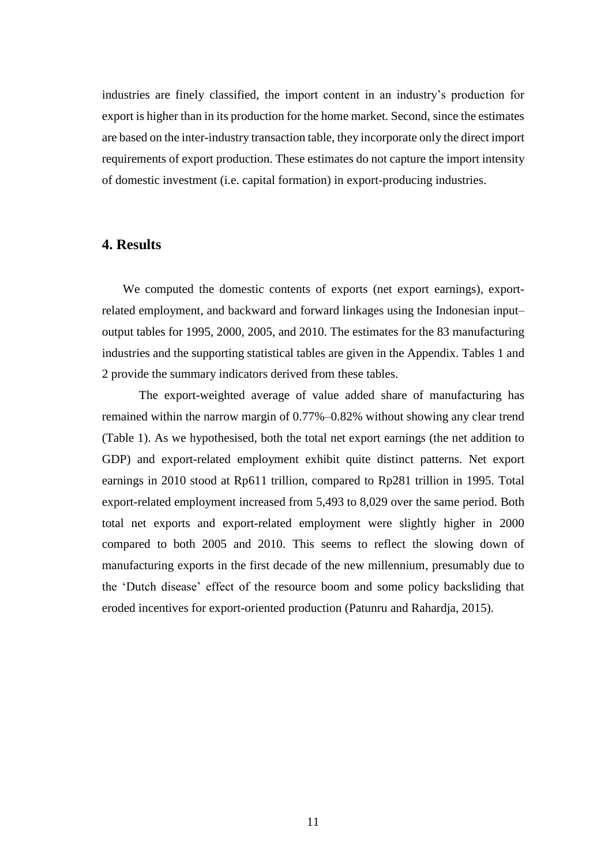industries are finely classified, the import content in an industry's production for export is higher than in its production for the home market. Second, since the estimates are based on the inter-industry transaction table, they incorporate only the direct import requirements of export production. These estimates do not capture the import intensity of domestic investment (i.e. capital formation) in export-producing industries.

#### **4. Results**

We computed the domestic contents of exports (net export earnings), exportrelated employment, and backward and forward linkages using the Indonesian input– output tables for 1995, 2000, 2005, and 2010. The estimates for the 83 manufacturing industries and the supporting statistical tables are given in the Appendix. Tables 1 and 2 provide the summary indicators derived from these tables.

The export-weighted average of value added share of manufacturing has remained within the narrow margin of 0.77%–0.82% without showing any clear trend (Table 1). As we hypothesised, both the total net export earnings (the net addition to GDP) and export-related employment exhibit quite distinct patterns. Net export earnings in 2010 stood at Rp611 trillion, compared to Rp281 trillion in 1995. Total export-related employment increased from 5,493 to 8,029 over the same period. Both total net exports and export-related employment were slightly higher in 2000 compared to both 2005 and 2010. This seems to reflect the slowing down of manufacturing exports in the first decade of the new millennium, presumably due to the 'Dutch disease' effect of the resource boom and some policy backsliding that eroded incentives for export-oriented production (Patunru and Rahardja, 2015).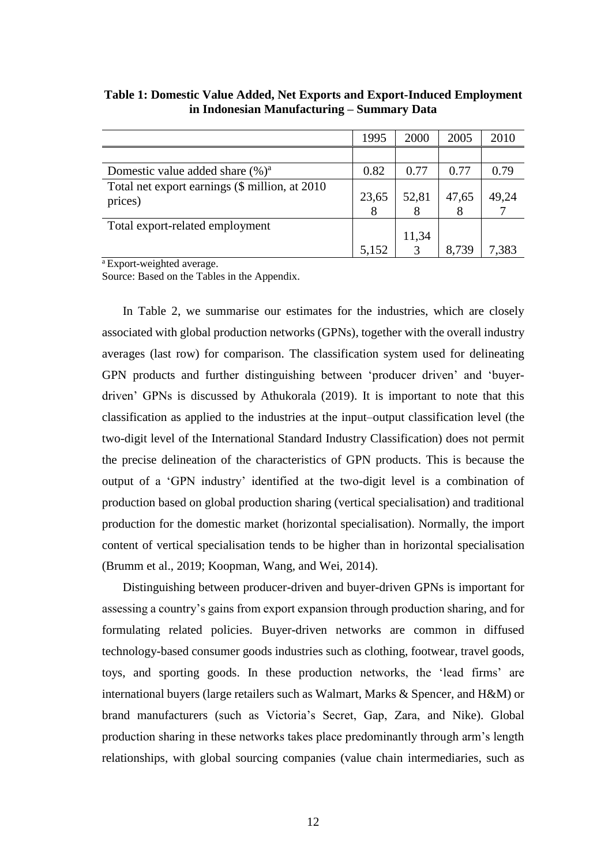|                                                            | 1995  | 2000  | 2005  | 2010  |
|------------------------------------------------------------|-------|-------|-------|-------|
|                                                            |       |       |       |       |
| Domestic value added share $(\%)^a$                        | 0.82  | 0.77  | 0.77  | 0.79  |
| Total net export earnings (\$ million, at 2010)<br>prices) | 23,65 | 52,81 | 47,65 | 49,24 |
| Total export-related employment                            |       | 11,34 |       |       |
|                                                            | 5,152 |       | 8,739 | 7,383 |

**Table 1: Domestic Value Added, Net Exports and Export-Induced Employment in Indonesian Manufacturing – Summary Data**

<sup>a</sup>Export-weighted average.

Source: Based on the Tables in the Appendix.

In Table 2, we summarise our estimates for the industries, which are closely associated with global production networks (GPNs), together with the overall industry averages (last row) for comparison. The classification system used for delineating GPN products and further distinguishing between 'producer driven' and 'buyerdriven' GPNs is discussed by Athukorala (2019). It is important to note that this classification as applied to the industries at the input–output classification level (the two-digit level of the International Standard Industry Classification) does not permit the precise delineation of the characteristics of GPN products. This is because the output of a 'GPN industry' identified at the two-digit level is a combination of production based on global production sharing (vertical specialisation) and traditional production for the domestic market (horizontal specialisation). Normally, the import content of vertical specialisation tends to be higher than in horizontal specialisation (Brumm et al., 2019; Koopman, Wang, and Wei, 2014).

Distinguishing between producer-driven and buyer-driven GPNs is important for assessing a country's gains from export expansion through production sharing, and for formulating related policies. Buyer-driven networks are common in diffused technology-based consumer goods industries such as clothing, footwear, travel goods, toys, and sporting goods. In these production networks, the 'lead firms' are international buyers (large retailers such as Walmart, Marks & Spencer, and H&M) or brand manufacturers (such as Victoria's Secret, Gap, Zara, and Nike). Global production sharing in these networks takes place predominantly through arm's length relationships, with global sourcing companies (value chain intermediaries, such as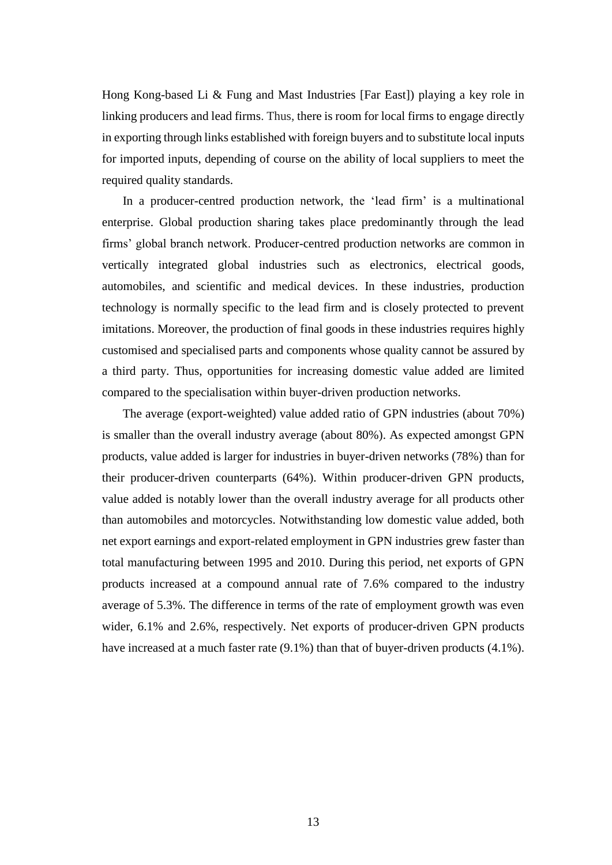Hong Kong-based Li & Fung and Mast Industries [Far East]) playing a key role in linking producers and lead firms. Thus, there is room for local firms to engage directly in exporting through links established with foreign buyers and to substitute local inputs for imported inputs, depending of course on the ability of local suppliers to meet the required quality standards.

In a producer-centred production network, the 'lead firm' is a multinational enterprise. Global production sharing takes place predominantly through the lead firms' global branch network. Producer-centred production networks are common in vertically integrated global industries such as electronics, electrical goods, automobiles, and scientific and medical devices. In these industries, production technology is normally specific to the lead firm and is closely protected to prevent imitations. Moreover, the production of final goods in these industries requires highly customised and specialised parts and components whose quality cannot be assured by a third party. Thus, opportunities for increasing domestic value added are limited compared to the specialisation within buyer-driven production networks.

The average (export-weighted) value added ratio of GPN industries (about 70%) is smaller than the overall industry average (about 80%). As expected amongst GPN products, value added is larger for industries in buyer-driven networks (78%) than for their producer-driven counterparts (64%). Within producer-driven GPN products, value added is notably lower than the overall industry average for all products other than automobiles and motorcycles. Notwithstanding low domestic value added, both net export earnings and export-related employment in GPN industries grew faster than total manufacturing between 1995 and 2010. During this period, net exports of GPN products increased at a compound annual rate of 7.6% compared to the industry average of 5.3%. The difference in terms of the rate of employment growth was even wider,  $6.1\%$  and  $2.6\%$ , respectively. Net exports of producer-driven GPN products have increased at a much faster rate (9.1%) than that of buyer-driven products (4.1%).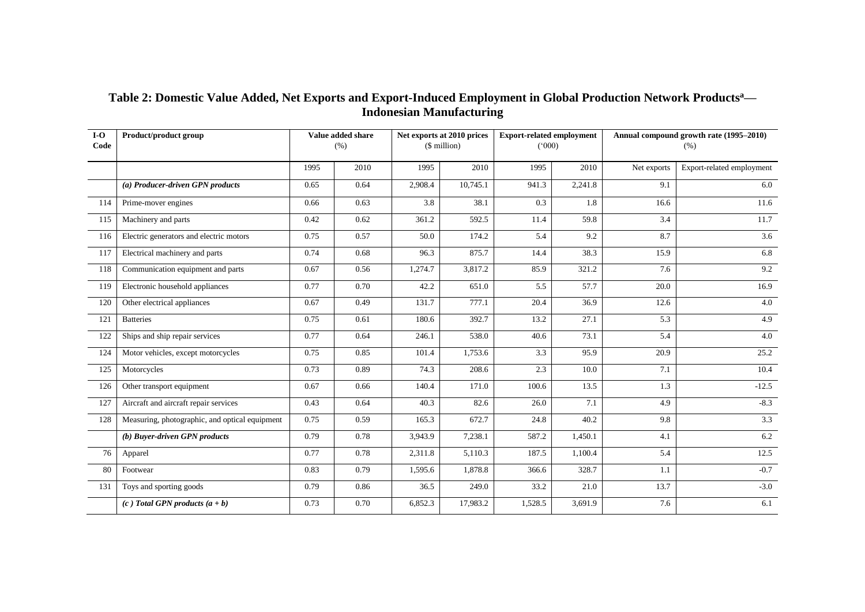| Table 2: Domestic Value Added, Net Exports and Export-Induced Employment in Global Production Network Products <sup>a</sup> — |
|-------------------------------------------------------------------------------------------------------------------------------|
| <b>Indonesian Manufacturing</b>                                                                                               |

| $I-O$<br>Code | Product/product group                          |      | Value added share<br>(% ) |         | Net exports at 2010 prices<br>$$$ million) |         | <b>Export-related employment</b><br>(000) |             | Annual compound growth rate (1995-2010)<br>(% ) |
|---------------|------------------------------------------------|------|---------------------------|---------|--------------------------------------------|---------|-------------------------------------------|-------------|-------------------------------------------------|
|               |                                                | 1995 | 2010                      | 1995    | 2010                                       | 1995    | 2010                                      | Net exports | Export-related employment                       |
|               | (a) Producer-driven GPN products               | 0.65 | 0.64                      | 2,908.4 | 10,745.1                                   | 941.3   | 2,241.8                                   | 9.1         | 6.0                                             |
| 114           | Prime-mover engines                            | 0.66 | 0.63                      | 3.8     | 38.1                                       | 0.3     | 1.8                                       | 16.6        | 11.6                                            |
| 115           | Machinery and parts                            | 0.42 | 0.62                      | 361.2   | 592.5                                      | 11.4    | 59.8                                      | 3.4         | 11.7                                            |
| 116           | Electric generators and electric motors        | 0.75 | 0.57                      | 50.0    | 174.2                                      | 5.4     | 9.2                                       | 8.7         | 3.6                                             |
| 117           | Electrical machinery and parts                 | 0.74 | 0.68                      | 96.3    | 875.7                                      | 14.4    | 38.3                                      | 15.9        | 6.8                                             |
| 118           | Communication equipment and parts              | 0.67 | 0.56                      | 1,274.7 | 3,817.2                                    | 85.9    | 321.2                                     | 7.6         | 9.2                                             |
| 119           | Electronic household appliances                | 0.77 | 0.70                      | 42.2    | 651.0                                      | 5.5     | 57.7                                      | 20.0        | 16.9                                            |
| 120           | Other electrical appliances                    | 0.67 | 0.49                      | 131.7   | 777.1                                      | 20.4    | 36.9                                      | 12.6        | 4.0                                             |
| 121           | <b>Batteries</b>                               | 0.75 | 0.61                      | 180.6   | 392.7                                      | 13.2    | 27.1                                      | 5.3         | 4.9                                             |
| 122           | Ships and ship repair services                 | 0.77 | 0.64                      | 246.1   | 538.0                                      | 40.6    | 73.1<br>5.4                               | 4.0         |                                                 |
| 124           | Motor vehicles, except motorcycles             | 0.75 | 0.85                      | 101.4   | 1,753.6                                    | 3.3     | 95.9                                      | 20.9        | 25.2                                            |
| 125           | Motorcycles                                    | 0.73 | 0.89                      | 74.3    | 208.6                                      | 2.3     | 10.0                                      | 7.1         | 10.4                                            |
| 126           | Other transport equipment                      | 0.67 | 0.66                      | 140.4   | 171.0                                      | 100.6   | 13.5                                      | 1.3         | $-12.5$                                         |
| 127           | Aircraft and aircraft repair services          | 0.43 | 0.64                      | 40.3    | 82.6                                       | 26.0    | 7.1                                       | 4.9         | $-8.3$                                          |
| 128           | Measuring, photographic, and optical equipment | 0.75 | 0.59                      | 165.3   | 672.7                                      | 24.8    | 40.2                                      | 9.8         | 3.3                                             |
|               | (b) Buyer-driven GPN products                  | 0.79 | 0.78                      | 3,943.9 | 7,238.1                                    | 587.2   | 1,450.1                                   | 4.1         | 6.2                                             |
| 76            | Apparel                                        | 0.77 | 0.78                      | 2,311.8 | 5,110.3                                    | 187.5   | 1,100.4                                   | 5.4         | 12.5                                            |
| 80            | Footwear                                       | 0.83 | 0.79                      | 1,595.6 | 1,878.8                                    | 366.6   | 328.7                                     | 1.1         | $-0.7$                                          |
| 131           | Toys and sporting goods                        | 0.79 | 0.86                      | 36.5    | 249.0                                      | 33.2    | 21.0                                      | 13.7        | $-3.0$                                          |
|               | (c) Total GPN products $(a + b)$               | 0.73 | 0.70                      | 6,852.3 | 17,983.2                                   | 1,528.5 | 3,691.9                                   | 7.6         | 6.1                                             |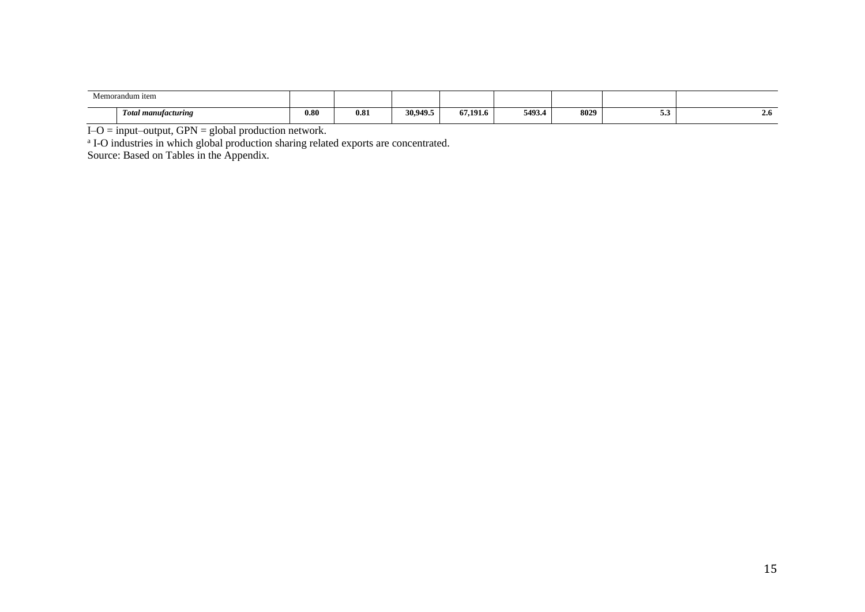| . .<br>Vlemorandum item            |      |      |          |          |        |      |   |                           |
|------------------------------------|------|------|----------|----------|--------|------|---|---------------------------|
| <b>Total manufacturing</b><br>- 67 | 0.80 | 0.81 | 30,949.5 | 67,191.6 | 5493.4 | 8029 | ິ | $\rightarrow \rightarrow$ |

I–O = input–output, GPN = global production network. a I-O industries in which global production sharing related exports are concentrated.

Source: Based on Tables in the Appendix.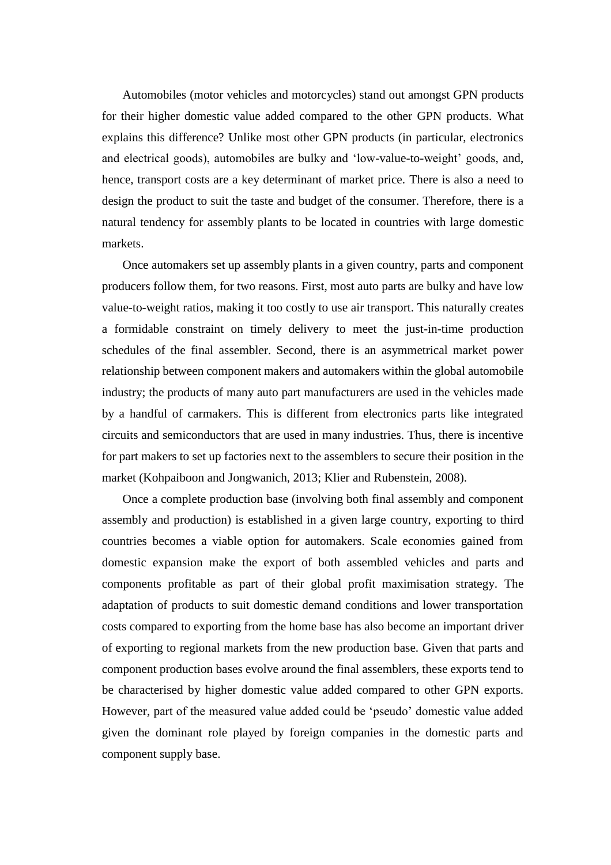Automobiles (motor vehicles and motorcycles) stand out amongst GPN products for their higher domestic value added compared to the other GPN products. What explains this difference? Unlike most other GPN products (in particular, electronics and electrical goods), automobiles are bulky and 'low-value-to-weight' goods, and, hence, transport costs are a key determinant of market price. There is also a need to design the product to suit the taste and budget of the consumer. Therefore, there is a natural tendency for assembly plants to be located in countries with large domestic markets.

Once automakers set up assembly plants in a given country, parts and component producers follow them, for two reasons. First, most auto parts are bulky and have low value-to-weight ratios, making it too costly to use air transport. This naturally creates a formidable constraint on timely delivery to meet the just-in-time production schedules of the final assembler. Second, there is an asymmetrical market power relationship between component makers and automakers within the global automobile industry; the products of many auto part manufacturers are used in the vehicles made by a handful of carmakers. This is different from electronics parts like integrated circuits and semiconductors that are used in many industries. Thus, there is incentive for part makers to set up factories next to the assemblers to secure their position in the market (Kohpaiboon and Jongwanich, 2013; Klier and Rubenstein, 2008).

Once a complete production base (involving both final assembly and component assembly and production) is established in a given large country, exporting to third countries becomes a viable option for automakers. Scale economies gained from domestic expansion make the export of both assembled vehicles and parts and components profitable as part of their global profit maximisation strategy. The adaptation of products to suit domestic demand conditions and lower transportation costs compared to exporting from the home base has also become an important driver of exporting to regional markets from the new production base. Given that parts and component production bases evolve around the final assemblers, these exports tend to be characterised by higher domestic value added compared to other GPN exports. However, part of the measured value added could be 'pseudo' domestic value added given the dominant role played by foreign companies in the domestic parts and component supply base.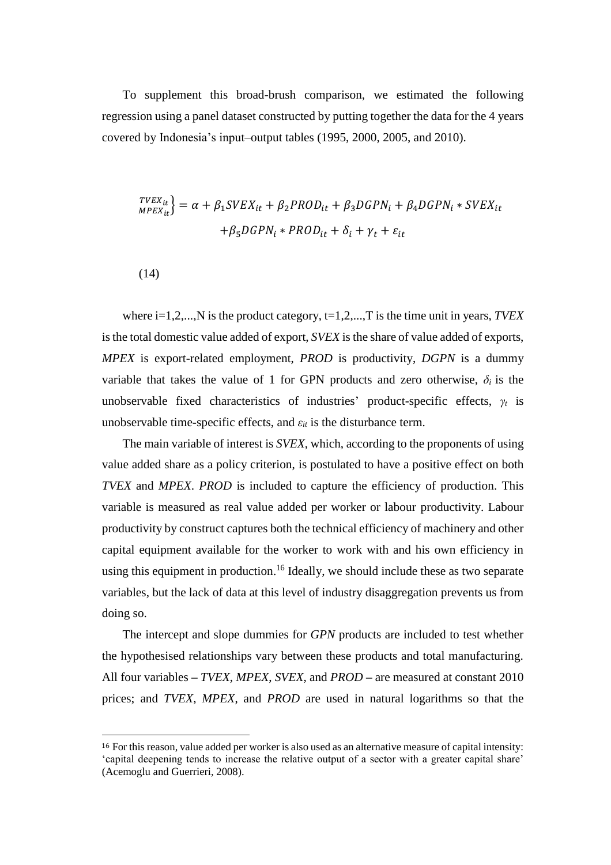To supplement this broad-brush comparison, we estimated the following regression using a panel dataset constructed by putting together the data for the 4 years covered by Indonesia's input–output tables (1995, 2000, 2005, and 2010).

$$
T^{VEX_{it}}_{MPEX_{it}} = \alpha + \beta_1 SVEX_{it} + \beta_2 PROD_{it} + \beta_3 DGPN_i + \beta_4 DGPN_i * SVEX_{it}
$$

$$
+ \beta_5 DGPN_i * PROD_{it} + \delta_i + \gamma_t + \varepsilon_{it}
$$

(14)

where i=1,2,...,N is the product category, t=1,2,...,T is the time unit in years, *TVEX* is the total domestic value added of export, *SVEX* is the share of value added of exports, *MPEX* is export-related employment, *PROD* is productivity, *DGPN* is a dummy variable that takes the value of 1 for GPN products and zero otherwise,  $\delta_i$  is the unobservable fixed characteristics of industries' product-specific effects, *γ<sup>t</sup>* is unobservable time-specific effects, and  $\varepsilon_{it}$  is the disturbance term.

The main variable of interest is *SVEX*, which, according to the proponents of using value added share as a policy criterion, is postulated to have a positive effect on both *TVEX* and *MPEX*. *PROD* is included to capture the efficiency of production. This variable is measured as real value added per worker or labour productivity. Labour productivity by construct captures both the technical efficiency of machinery and other capital equipment available for the worker to work with and his own efficiency in using this equipment in production.<sup>16</sup> Ideally, we should include these as two separate variables, but the lack of data at this level of industry disaggregation prevents us from doing so.

The intercept and slope dummies for *GPN* products are included to test whether the hypothesised relationships vary between these products and total manufacturing. All four variables **–** *TVEX*, *MPEX*, *SVEX*, and *PROD* **–** are measured at constant 2010 prices; and *TVEX*, *MPEX*, and *PROD* are used in natural logarithms so that the

<sup>16</sup> For this reason, value added per worker is also used as an alternative measure of capital intensity: 'capital deepening tends to increase the relative output of a sector with a greater capital share' (Acemoglu and Guerrieri, 2008).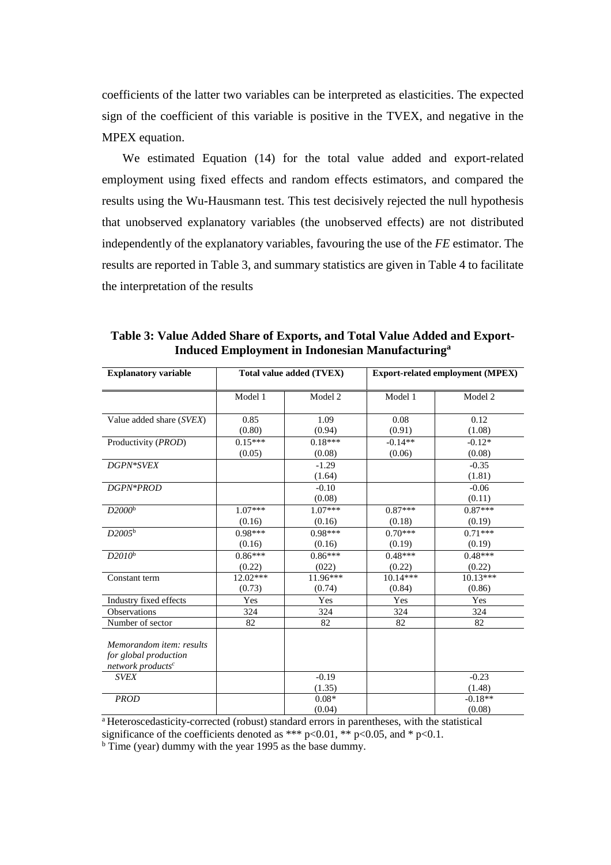coefficients of the latter two variables can be interpreted as elasticities. The expected sign of the coefficient of this variable is positive in the TVEX, and negative in the MPEX equation.

We estimated Equation (14) for the total value added and export-related employment using fixed effects and random effects estimators, and compared the results using the Wu-Hausmann test. This test decisively rejected the null hypothesis that unobserved explanatory variables (the unobserved effects) are not distributed independently of the explanatory variables, favouring the use of the *FE* estimator. The results are reported in Table 3, and summary statistics are given in Table 4 to facilitate the interpretation of the results

| <b>Explanatory variable</b>                                                        |                     | Total value added (TVEX) | <b>Export-related employment (MPEX)</b> |                      |  |  |  |
|------------------------------------------------------------------------------------|---------------------|--------------------------|-----------------------------------------|----------------------|--|--|--|
|                                                                                    | Model 1             | Model 2                  | Model 1                                 | Model 2              |  |  |  |
| Value added share (SVEX)                                                           | 0.85<br>(0.80)      | 1.09<br>(0.94)           | 0.08<br>(0.91)                          | 0.12<br>(1.08)       |  |  |  |
| Productivity ( <i>PROD</i> )                                                       | $0.15***$<br>(0.05) | $0.18***$<br>(0.08)      | $-0.14**$<br>(0.06)                     | $-0.12*$<br>(0.08)   |  |  |  |
| DGPN*SVEX                                                                          |                     | $-1.29$<br>(1.64)        |                                         | $-0.35$<br>(1.81)    |  |  |  |
| DGPN*PROD                                                                          |                     | $-0.10$<br>(0.08)        |                                         | $-0.06$<br>(0.11)    |  |  |  |
| D2000 <sup>b</sup>                                                                 | $1.07***$<br>(0.16) | $1.07***$<br>(0.16)      | $0.87***$<br>(0.18)                     | $0.87***$<br>(0.19)  |  |  |  |
| D2005 <sup>b</sup>                                                                 | $0.98***$<br>(0.16) | $0.98***$<br>(0.16)      | $0.70***$<br>(0.19)                     | $0.71***$<br>(0.19)  |  |  |  |
| $D2010^{\rm b}$                                                                    | $0.86***$<br>(0.22) | $0.86***$<br>(022)       | $0.48***$<br>(0.22)                     | $0.48***$<br>(0.22)  |  |  |  |
| Constant term                                                                      | 12.02***<br>(0.73)  | $11.96***$<br>(0.74)     | 10.14***<br>(0.84)                      | $10.13***$<br>(0.86) |  |  |  |
| Industry fixed effects                                                             | Yes                 | Yes                      | Yes                                     | Yes                  |  |  |  |
| Observations                                                                       | 324                 | 324                      | 324                                     | 324                  |  |  |  |
| Number of sector                                                                   | 82                  | 82                       | 82                                      | 82                   |  |  |  |
| Memorandom item: results<br>for global production<br>network products <sup>c</sup> |                     |                          |                                         |                      |  |  |  |
| <b>SVEX</b>                                                                        |                     | $-0.19$<br>(1.35)        |                                         | $-0.23$<br>(1.48)    |  |  |  |
| <b>PROD</b>                                                                        |                     | $0.08*$<br>(0.04)        |                                         | $-0.18**$<br>(0.08)  |  |  |  |

**Table 3: Value Added Share of Exports, and Total Value Added and Export-Induced Employment in Indonesian Manufacturing<sup>a</sup>**

<sup>a</sup> Heteroscedasticity-corrected (robust) standard errors in parentheses, with the statistical significance of the coefficients denoted as \*\*\* p<0.01, \*\* p<0.05, and \* p<0.1.

<sup>b</sup> Time (year) dummy with the year 1995 as the base dummy.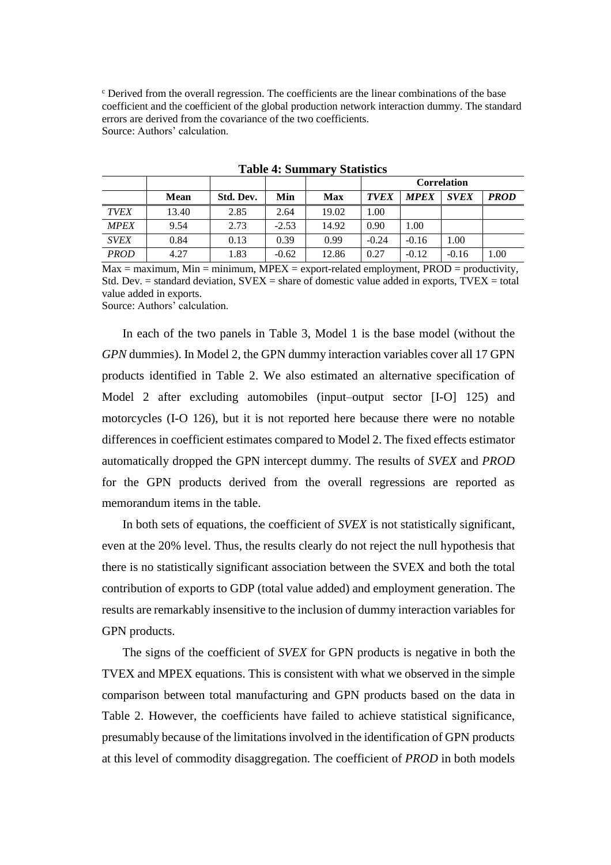$\epsilon$  Derived from the overall regression. The coefficients are the linear combinations of the base coefficient and the coefficient of the global production network interaction dummy. The standard errors are derived from the covariance of the two coefficients. Source: Authors' calculation.

|             |             |           |         |            | <b>Correlation</b> |             |             |             |  |
|-------------|-------------|-----------|---------|------------|--------------------|-------------|-------------|-------------|--|
|             | <b>Mean</b> | Std. Dev. | Min     | <b>Max</b> | <b>TVEX</b>        | <b>MPEX</b> | <b>SVEX</b> | <b>PROD</b> |  |
| <b>TVEX</b> | 13.40       | 2.85      | 2.64    | 19.02      | 1.00               |             |             |             |  |
| <b>MPEX</b> | 9.54        | 2.73      | $-2.53$ | 14.92      | 0.90               | 1.00        |             |             |  |
| <b>SVEX</b> | 0.84        | 0.13      | 0.39    | 0.99       | $-0.24$            | $-0.16$     | 1.00        |             |  |
| <b>PROD</b> | 4.27        | 1.83      | $-0.62$ | 12.86      | 0.27               | $-0.12$     | $-0.16$     | 1.00        |  |

**Table 4: Summary Statistics**

 $Max = maximum$ ,  $Min = minimum$ ,  $MPEX = export-related employment$ ,  $PROD = productivity$ , Std. Dev.  $=$  standard deviation, SVEX  $=$  share of domestic value added in exports, TVEX  $=$  total value added in exports.

Source: Authors' calculation.

In each of the two panels in Table 3, Model 1 is the base model (without the *GPN* dummies). In Model 2, the GPN dummy interaction variables cover all 17 GPN products identified in Table 2. We also estimated an alternative specification of Model 2 after excluding automobiles (input–output sector [I-O] 125) and motorcycles (I-O 126), but it is not reported here because there were no notable differences in coefficient estimates compared to Model 2. The fixed effects estimator automatically dropped the GPN intercept dummy. The results of *SVEX* and *PROD* for the GPN products derived from the overall regressions are reported as memorandum items in the table.

In both sets of equations, the coefficient of *SVEX* is not statistically significant, even at the 20% level. Thus, the results clearly do not reject the null hypothesis that there is no statistically significant association between the SVEX and both the total contribution of exports to GDP (total value added) and employment generation. The results are remarkably insensitive to the inclusion of dummy interaction variables for GPN products.

The signs of the coefficient of *SVEX* for GPN products is negative in both the TVEX and MPEX equations. This is consistent with what we observed in the simple comparison between total manufacturing and GPN products based on the data in Table 2. However, the coefficients have failed to achieve statistical significance, presumably because of the limitations involved in the identification of GPN products at this level of commodity disaggregation. The coefficient of *PROD* in both models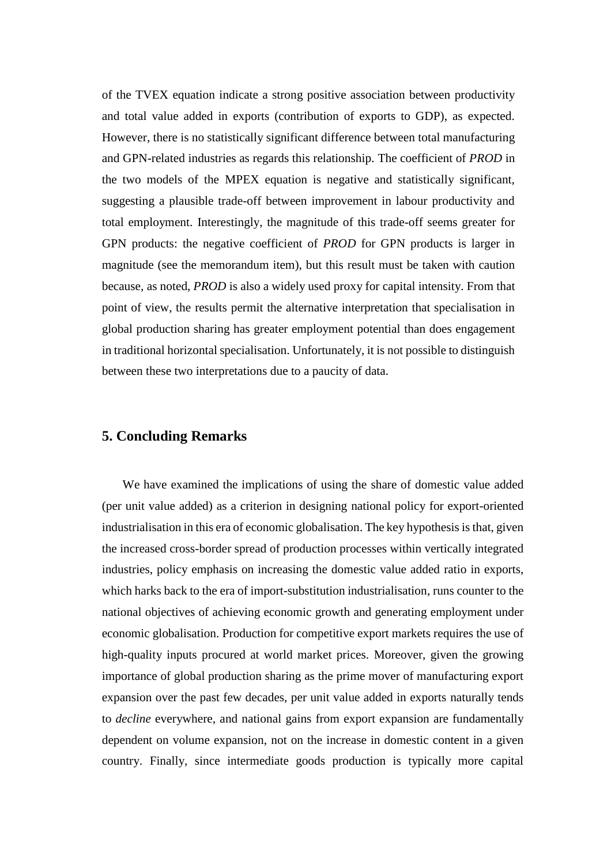of the TVEX equation indicate a strong positive association between productivity and total value added in exports (contribution of exports to GDP), as expected. However, there is no statistically significant difference between total manufacturing and GPN-related industries as regards this relationship. The coefficient of *PROD* in the two models of the MPEX equation is negative and statistically significant, suggesting a plausible trade-off between improvement in labour productivity and total employment. Interestingly, the magnitude of this trade-off seems greater for GPN products: the negative coefficient of *PROD* for GPN products is larger in magnitude (see the memorandum item), but this result must be taken with caution because, as noted, *PROD* is also a widely used proxy for capital intensity. From that point of view, the results permit the alternative interpretation that specialisation in global production sharing has greater employment potential than does engagement in traditional horizontal specialisation. Unfortunately, it is not possible to distinguish between these two interpretations due to a paucity of data.

#### **5. Concluding Remarks**

We have examined the implications of using the share of domestic value added (per unit value added) as a criterion in designing national policy for export-oriented industrialisation in this era of economic globalisation. The key hypothesis is that, given the increased cross-border spread of production processes within vertically integrated industries, policy emphasis on increasing the domestic value added ratio in exports, which harks back to the era of import-substitution industrialisation, runs counter to the national objectives of achieving economic growth and generating employment under economic globalisation. Production for competitive export markets requires the use of high-quality inputs procured at world market prices. Moreover, given the growing importance of global production sharing as the prime mover of manufacturing export expansion over the past few decades, per unit value added in exports naturally tends to *decline* everywhere, and national gains from export expansion are fundamentally dependent on volume expansion, not on the increase in domestic content in a given country. Finally, since intermediate goods production is typically more capital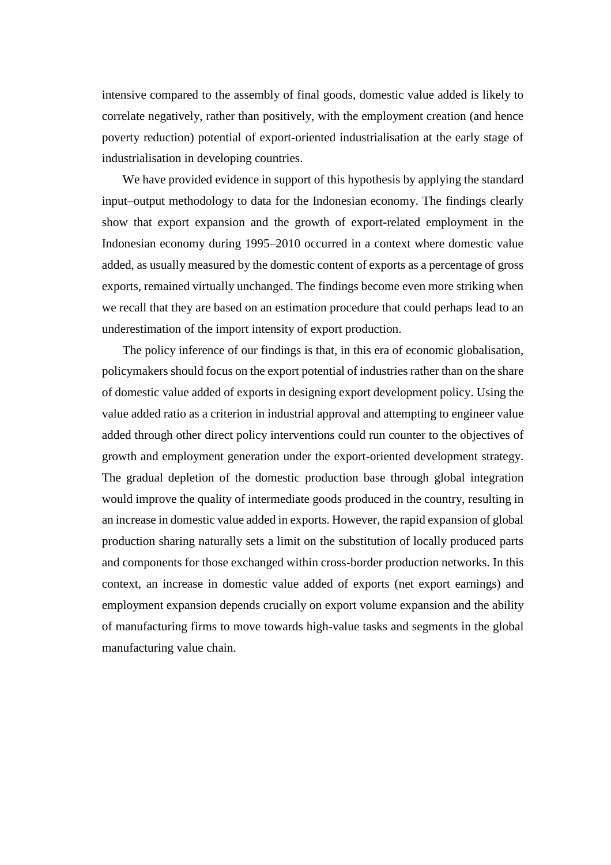intensive compared to the assembly of final goods, domestic value added is likely to correlate negatively, rather than positively, with the employment creation (and hence poverty reduction) potential of export-oriented industrialisation at the early stage of industrialisation in developing countries.

We have provided evidence in support of this hypothesis by applying the standard input–output methodology to data for the Indonesian economy. The findings clearly show that export expansion and the growth of export-related employment in the Indonesian economy during 1995–2010 occurred in a context where domestic value added, as usually measured by the domestic content of exports as a percentage of gross exports, remained virtually unchanged. The findings become even more striking when we recall that they are based on an estimation procedure that could perhaps lead to an underestimation of the import intensity of export production.

The policy inference of our findings is that, in this era of economic globalisation, policymakers should focus on the export potential of industries rather than on the share of domestic value added of exports in designing export development policy. Using the value added ratio as a criterion in industrial approval and attempting to engineer value added through other direct policy interventions could run counter to the objectives of growth and employment generation under the export-oriented development strategy. The gradual depletion of the domestic production base through global integration would improve the quality of intermediate goods produced in the country, resulting in an increase in domestic value added in exports. However, the rapid expansion of global production sharing naturally sets a limit on the substitution of locally produced parts and components for those exchanged within cross-border production networks. In this context, an increase in domestic value added of exports (net export earnings) and employment expansion depends crucially on export volume expansion and the ability of manufacturing firms to move towards high-value tasks and segments in the global manufacturing value chain.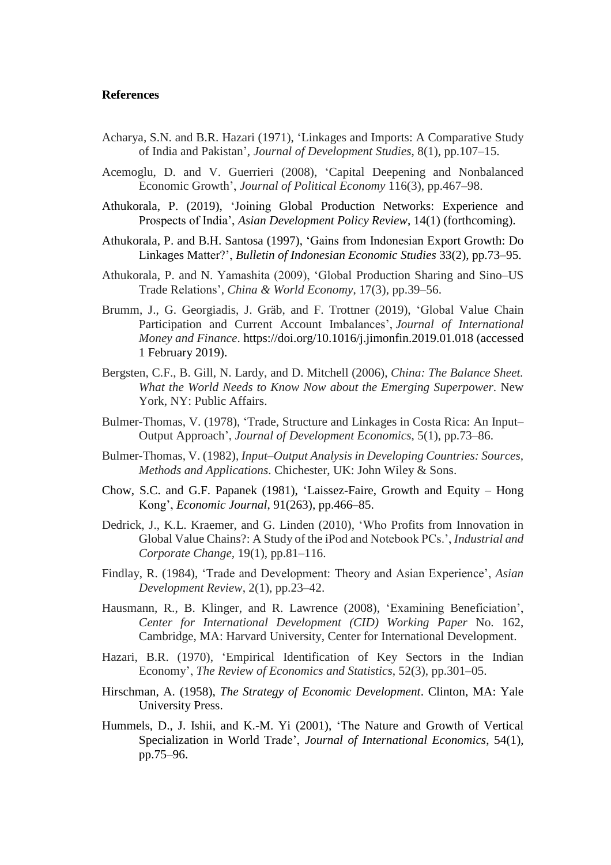#### **References**

- Acharya, S.N. and B.R. Hazari (1971), 'Linkages and Imports: A Comparative Study of India and Pakistan', *Journal of Development Studies*, 8(1), pp.107–15.
- Acemoglu, D. and V. Guerrieri (2008), 'Capital Deepening and Nonbalanced Economic Growth', *Journal of Political Economy* 116(3), pp.467–98.
- Athukorala, P. (2019), 'Joining Global Production Networks: Experience and Prospects of India', *Asian Development Policy Review*, 14(1) (forthcoming).
- Athukorala, P. and B.H. Santosa (1997), 'Gains from Indonesian Export Growth: Do Linkages Matter?', *Bulletin of Indonesian Economic Studies* 33(2), pp.73–95.
- Athukorala, P. and N. Yamashita (2009), 'Global Production Sharing and Sino–US Trade Relations', *China & World Economy*, 17(3), pp.39–56.
- Brumm, J., G. Georgiadis, J. Gräb, and F. Trottner (2019), 'Global Value Chain Participation and Current Account Imbalances', *Journal of International Money and Finance*. https://doi.org/10.1016/j.jimonfin.2019.01.018 (accessed 1 February 2019).
- Bergsten, C.F., B. Gill, N. Lardy, and D. Mitchell (2006), *China: The Balance Sheet. What the World Needs to Know Now about the Emerging Superpower*. New York, NY: Public Affairs.
- Bulmer-Thomas, V. (1978), 'Trade, Structure and Linkages in Costa Rica: An Input– Output Approach', *Journal of Development Economics*, 5(1), pp.73–86.
- Bulmer-Thomas, V. (1982), *Input–Output Analysis in Developing Countries: Sources, Methods and Applications*. Chichester, UK: John Wiley & Sons.
- Chow, S.C. and G.F. Papanek (1981), 'Laissez-Faire, Growth and Equity Hong Kong', *Economic Journal*, 91(263), pp.466–85.
- Dedrick, J., K.L. Kraemer, and G. Linden (2010), 'Who Profits from Innovation in Global Value Chains?: A Study of the iPod and Notebook PCs.', *Industrial and Corporate Change,* 19(1), pp.81–116.
- Findlay, R. (1984), 'Trade and Development: Theory and Asian Experience', *Asian Development Review*, 2(1), pp.23–42.
- Hausmann, R., B. Klinger, and R. Lawrence (2008), 'Examining Beneficiation', *Center for International Development (CID) Working Paper* No. 162, Cambridge, MA: Harvard University, Center for International Development.
- Hazari, B.R. (1970), 'Empirical Identification of Key Sectors in the Indian Economy', *The Review of Economics and Statistics*, 52(3), pp.301–05.
- Hirschman, A. (1958), *The Strategy of Economic Development*. Clinton, MA: Yale University Press.
- Hummels, D., J. Ishii, and K.-M. Yi (2001), 'The Nature and Growth of Vertical Specialization in World Trade', *Journal of International Economics*, 54(1), pp.75–96.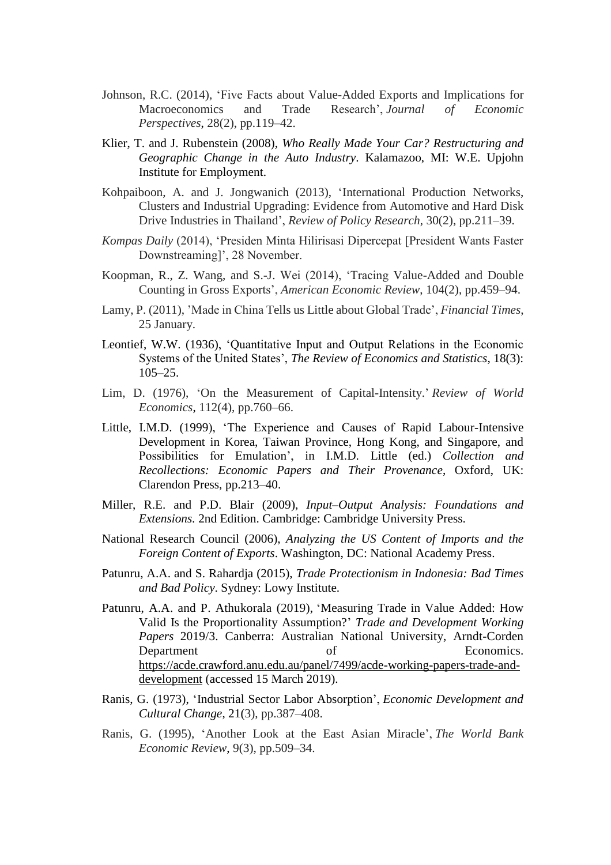- Johnson, R.C. (2014), 'Five Facts about Value-Added Exports and Implications for Macroeconomics and Trade Research', *Journal of Economic Perspectives*, 28(2), pp.119–42.
- Klier, T. and J. Rubenstein (2008), *Who Really Made Your Car? Restructuring and Geographic Change in the Auto Industry*. Kalamazoo, MI: W.E. Upjohn Institute for Employment.
- Kohpaiboon, A. and J. Jongwanich (2013), 'International Production Networks, Clusters and Industrial Upgrading: Evidence from Automotive and Hard Disk Drive Industries in Thailand', *Review of Policy Research*, 30(2), pp.211–39.
- *Kompas Daily* (2014), 'Presiden Minta Hilirisasi Dipercepat [President Wants Faster Downstreaming]', 28 November.
- Koopman, R., Z. Wang, and S.-J. Wei (2014), 'Tracing Value-Added and Double Counting in Gross Exports', *American Economic Review*, 104(2), pp.459–94.
- Lamy, P. (2011), 'Made in China Tells us Little about Global Trade', *Financial Times*, 25 January.
- Leontief, W.W. (1936), 'Quantitative Input and Output Relations in the Economic Systems of the United States', *The Review of Economics and Statistics*, 18(3): 105–25.
- Lim, D. (1976), 'On the Measurement of Capital-Intensity.' *Review of World Economics*, 112(4), pp.760–66.
- Little, I.M.D. (1999), 'The Experience and Causes of Rapid Labour-Intensive Development in Korea, Taiwan Province, Hong Kong, and Singapore, and Possibilities for Emulation', in I.M.D. Little (ed.) *Collection and Recollections: Economic Papers and Their Provenance*, Oxford, UK: Clarendon Press, pp.213–40.
- Miller, R.E. and P.D. Blair (2009), *Input–Output Analysis: Foundations and Extensions.* 2nd Edition. Cambridge: Cambridge University Press.
- National Research Council (2006), *Analyzing the US Content of Imports and the Foreign Content of Exports*. Washington, DC: National Academy Press.
- Patunru, A.A. and S. Rahardja (2015), *Trade Protectionism in Indonesia: Bad Times and Bad Policy*. Sydney: Lowy Institute.
- Patunru, A.A. and P. Athukorala (2019), ['Measuring Trade in Value Added: How](https://acde.crawford.anu.edu.au/publication/working-papers-trade-and-development/14036/measuring-trade-value-added-how-valid)  [Valid Is the Proportionality Assumption?'](https://acde.crawford.anu.edu.au/publication/working-papers-trade-and-development/14036/measuring-trade-value-added-how-valid) *Trade and Development Working Papers* 2019/3. Canberra: Australian National University, Arndt-Corden Department of Economics. [https://acde.crawford.anu.edu.au/panel/7499/acde-working-papers-trade-and](https://acde.crawford.anu.edu.au/panel/7499/acde-working-papers-trade-and-development)[development](https://acde.crawford.anu.edu.au/panel/7499/acde-working-papers-trade-and-development) (accessed 15 March 2019).
- Ranis, G. (1973), 'Industrial Sector Labor Absorption', *Economic Development and Cultural Change*, 21(3), pp.387–408.
- Ranis, G. (1995), 'Another Look at the East Asian Miracle', *The World Bank Economic Review*, 9(3), pp.509–34.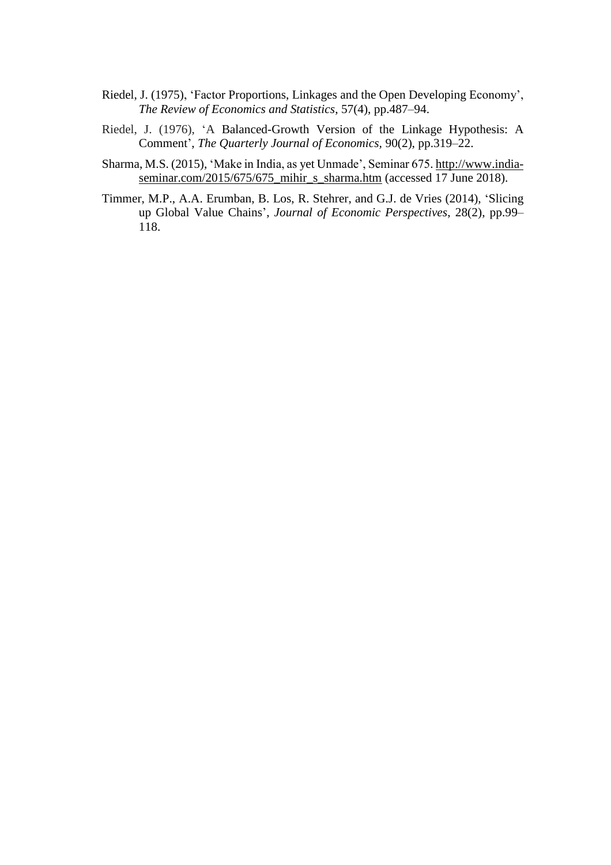- Riedel, J. (1975), 'Factor Proportions, Linkages and the Open Developing Economy', *The Review of Economics and Statistics*, 57(4), pp.487–94.
- Riedel, J. (1976), 'A Balanced-Growth Version of the Linkage Hypothesis: A Comment', *The Quarterly Journal of Economics,* 90(2), pp.319–22.
- Sharma, M.S. (2015), 'Make in India, as yet Unmade', Seminar 675. [http://www.india](http://www.india-seminar.com/2015/675/675_mihir_s_sharma.htm)[seminar.com/2015/675/675\\_mihir\\_s\\_sharma.htm](http://www.india-seminar.com/2015/675/675_mihir_s_sharma.htm) (accessed 17 June 2018).
- Timmer, M.P., A.A. Erumban, B. Los, R. Stehrer, and G.J. de Vries (2014), 'Slicing up Global Value Chains', *Journal of Economic Perspectives*, 28(2), pp.99– 118.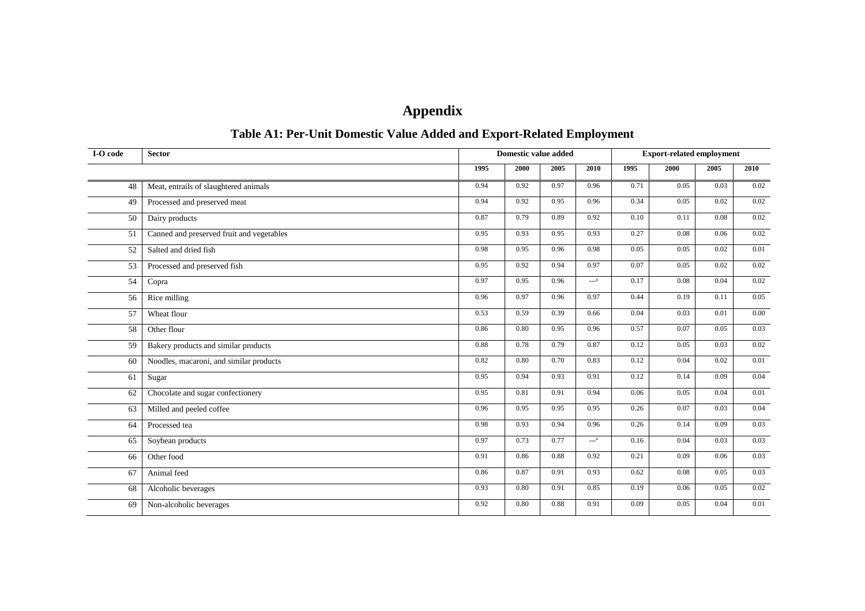# **Appendix**

## **Table A1: Per-Unit Domestic Value Added and Export-Related Employment**

| I-O code | <b>Sector</b>                             |      | <b>Domestic value added</b> |      |        |      | <b>Export-related employment</b> |      |      |
|----------|-------------------------------------------|------|-----------------------------|------|--------|------|----------------------------------|------|------|
|          |                                           | 1995 | 2000                        | 2005 | 2010   | 1995 | 2000                             | 2005 | 2010 |
| 48       | Meat, entrails of slaughtered animals     | 0.94 | 0.92                        | 0.97 | 0.96   | 0.71 | 0.05                             | 0.03 | 0.02 |
| 49       | Processed and preserved meat              | 0.94 | 0.92                        | 0.95 | 0.96   | 0.34 | 0.05                             | 0.02 | 0.02 |
| 50       | Dairy products                            | 0.87 | 0.79                        | 0.89 | 0.92   | 0.10 | 0.11                             | 0.08 | 0.02 |
| 51       | Canned and preserved fruit and vegetables | 0.95 | 0.93                        | 0.95 | 0.93   | 0.27 | 0.08                             | 0.06 | 0.02 |
| 52       | Salted and dried fish                     | 0.98 | 0.95                        | 0.96 | 0.98   | 0.05 | 0.05                             | 0.02 | 0.01 |
| 53       | Processed and preserved fish              | 0.95 | 0.92                        | 0.94 | 0.97   | 0.07 | 0.05                             | 0.02 | 0.02 |
| 54       | Copra                                     | 0.97 | 0.95                        | 0.96 | $---a$ | 0.17 | 0.08                             | 0.04 | 0.02 |
| 56       | Rice milling                              | 0.96 | 0.97                        | 0.96 | 0.97   | 0.44 | 0.19                             | 0.11 | 0.05 |
| 57       | Wheat flour                               | 0.53 | 0.59                        | 0.39 | 0.66   | 0.04 | 0.03                             | 0.01 | 0.00 |
| 58       | Other flour                               | 0.86 | 0.80                        | 0.95 | 0.96   | 0.57 | 0.07                             | 0.05 | 0.03 |
| 59       | Bakery products and similar products      | 0.88 | 0.78                        | 0.79 | 0.87   | 0.12 | 0.05                             | 0.03 | 0.02 |
| 60       | Noodles, macaroni, and similar products   | 0.82 | 0.80                        | 0.70 | 0.83   | 0.12 | 0.04                             | 0.02 | 0.01 |
| 61       | Sugar                                     | 0.95 | 0.94                        | 0.93 | 0.91   | 0.12 | 0.14                             | 0.09 | 0.04 |
| 62       | Chocolate and sugar confectionery         | 0.95 | 0.81                        | 0.91 | 0.94   | 0.06 | 0.05                             | 0.04 | 0.01 |
| 63       | Milled and peeled coffee                  | 0.96 | 0.95                        | 0.95 | 0.95   | 0.26 | 0.07                             | 0.03 | 0.04 |
| 64       | Processed tea                             | 0.98 | 0.93                        | 0.94 | 0.96   | 0.26 | 0.14                             | 0.09 | 0.03 |
| 65       | Soybean products                          | 0.97 | 0.73                        | 0.77 | $-2$   | 0.16 | 0.04                             | 0.03 | 0.03 |
| 66       | Other food                                | 0.91 | 0.86                        | 0.88 | 0.92   | 0.21 | 0.09                             | 0.06 | 0.03 |
| 67       | Animal feed                               | 0.86 | 0.87                        | 0.91 | 0.93   | 0.62 | 0.08                             | 0.05 | 0.03 |
| 68       | Alcoholic beverages                       | 0.93 | 0.80                        | 0.91 | 0.85   | 0.19 | 0.06                             | 0.05 | 0.02 |
| 69       | Non-alcoholic beverages                   | 0.92 | 0.80                        | 0.88 | 0.91   | 0.09 | 0.05                             | 0.04 | 0.01 |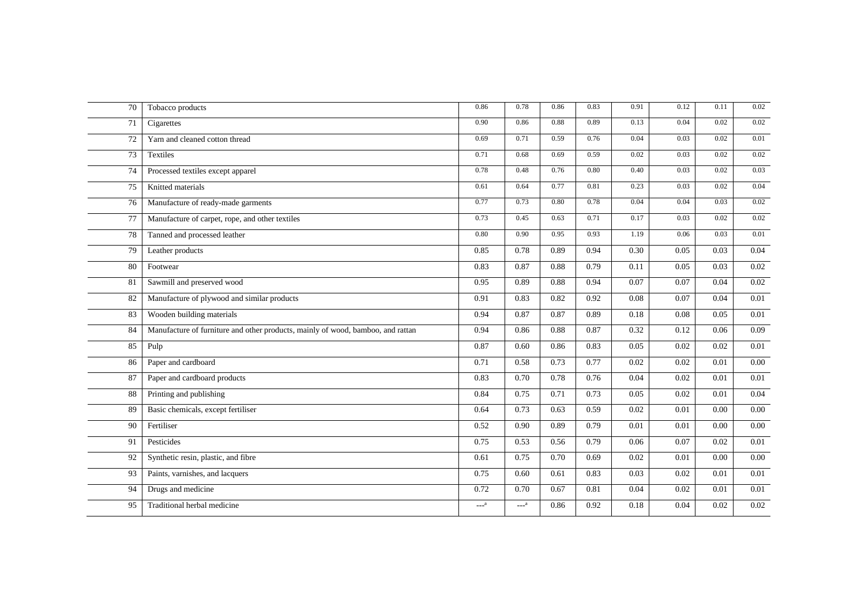| 70 | Tobacco products                                                                | 0.86   | 0.78   | 0.86 | 0.83 | 0.91 | 0.12 | 0.11 | 0.02     |
|----|---------------------------------------------------------------------------------|--------|--------|------|------|------|------|------|----------|
| 71 | Cigarettes                                                                      | 0.90   | 0.86   | 0.88 | 0.89 | 0.13 | 0.04 | 0.02 | 0.02     |
| 72 | Yarn and cleaned cotton thread                                                  | 0.69   | 0.71   | 0.59 | 0.76 | 0.04 | 0.03 | 0.02 | 0.01     |
| 73 | Textiles                                                                        | 0.71   | 0.68   | 0.69 | 0.59 | 0.02 | 0.03 | 0.02 | 0.02     |
| 74 | Processed textiles except apparel                                               | 0.78   | 0.48   | 0.76 | 0.80 | 0.40 | 0.03 | 0.02 | 0.03     |
| 75 | Knitted materials                                                               | 0.61   | 0.64   | 0.77 | 0.81 | 0.23 | 0.03 | 0.02 | 0.04     |
| 76 | Manufacture of ready-made garments                                              | 0.77   | 0.73   | 0.80 | 0.78 | 0.04 | 0.04 | 0.03 | 0.02     |
| 77 | Manufacture of carpet, rope, and other textiles                                 | 0.73   | 0.45   | 0.63 | 0.71 | 0.17 | 0.03 | 0.02 | 0.02     |
| 78 | Tanned and processed leather                                                    | 0.80   | 0.90   | 0.95 | 0.93 | 1.19 | 0.06 | 0.03 | 0.01     |
| 79 | Leather products                                                                | 0.85   | 0.78   | 0.89 | 0.94 | 0.30 | 0.05 | 0.03 | 0.04     |
| 80 | Footwear                                                                        | 0.83   | 0.87   | 0.88 | 0.79 | 0.11 | 0.05 | 0.03 | 0.02     |
| 81 | Sawmill and preserved wood                                                      | 0.95   | 0.89   | 0.88 | 0.94 | 0.07 | 0.07 | 0.04 | 0.02     |
| 82 | Manufacture of plywood and similar products                                     | 0.91   | 0.83   | 0.82 | 0.92 | 0.08 | 0.07 | 0.04 | 0.01     |
| 83 | Wooden building materials                                                       | 0.94   | 0.87   | 0.87 | 0.89 | 0.18 | 0.08 | 0.05 | 0.01     |
| 84 | Manufacture of furniture and other products, mainly of wood, bamboo, and rattan | 0.94   | 0.86   | 0.88 | 0.87 | 0.32 | 0.12 | 0.06 | 0.09     |
| 85 | Pulp                                                                            | 0.87   | 0.60   | 0.86 | 0.83 | 0.05 | 0.02 | 0.02 | 0.01     |
| 86 | Paper and cardboard                                                             | 0.71   | 0.58   | 0.73 | 0.77 | 0.02 | 0.02 | 0.01 | 0.00     |
| 87 | Paper and cardboard products                                                    | 0.83   | 0.70   | 0.78 | 0.76 | 0.04 | 0.02 | 0.01 | 0.01     |
| 88 | Printing and publishing                                                         | 0.84   | 0.75   | 0.71 | 0.73 | 0.05 | 0.02 | 0.01 | 0.04     |
| 89 | Basic chemicals, except fertiliser                                              | 0.64   | 0.73   | 0.63 | 0.59 | 0.02 | 0.01 | 0.00 | 0.00     |
| 90 | Fertiliser                                                                      | 0.52   | 0.90   | 0.89 | 0.79 | 0.01 | 0.01 | 0.00 | 0.00     |
| 91 | Pesticides                                                                      | 0.75   | 0.53   | 0.56 | 0.79 | 0.06 | 0.07 | 0.02 | 0.01     |
| 92 | Synthetic resin, plastic, and fibre                                             | 0.61   | 0.75   | 0.70 | 0.69 | 0.02 | 0.01 | 0.00 | $0.00\,$ |
| 93 | Paints, varnishes, and lacquers                                                 | 0.75   | 0.60   | 0.61 | 0.83 | 0.03 | 0.02 | 0.01 | 0.01     |
| 94 | Drugs and medicine                                                              | 0.72   | 0.70   | 0.67 | 0.81 | 0.04 | 0.02 | 0.01 | 0.01     |
| 95 | Traditional herbal medicine                                                     | $---a$ | $---a$ | 0.86 | 0.92 | 0.18 | 0.04 | 0.02 | 0.02     |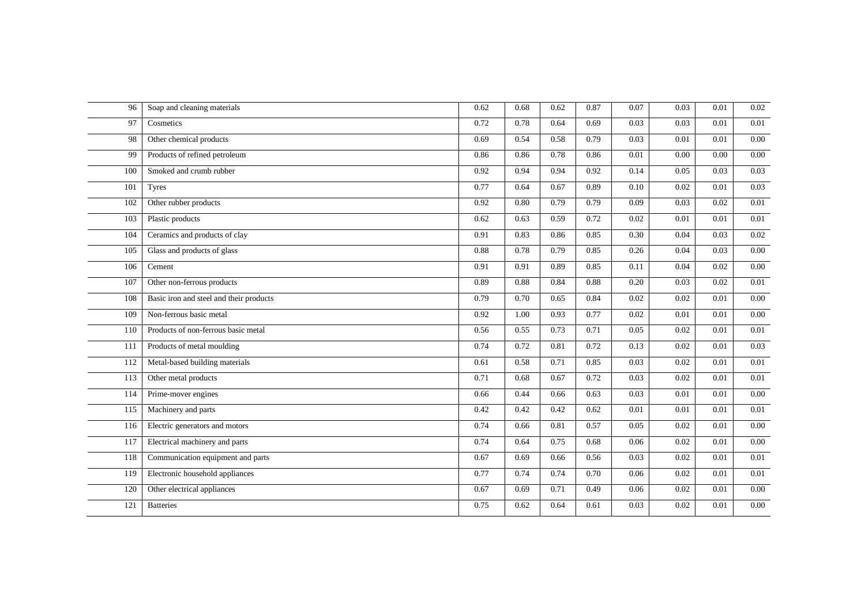| 96  | Soap and cleaning materials             | 0.62 | 0.68 | 0.62 | 0.87 | 0.07 | 0.03 | 0.01 | 0.02     |
|-----|-----------------------------------------|------|------|------|------|------|------|------|----------|
| 97  | Cosmetics                               | 0.72 | 0.78 | 0.64 | 0.69 | 0.03 | 0.03 | 0.01 | 0.01     |
| 98  | Other chemical products                 | 0.69 | 0.54 | 0.58 | 0.79 | 0.03 | 0.01 | 0.01 | 0.00     |
| 99  | Products of refined petroleum           | 0.86 | 0.86 | 0.78 | 0.86 | 0.01 | 0.00 | 0.00 | 0.00     |
| 100 | Smoked and crumb rubber                 | 0.92 | 0.94 | 0.94 | 0.92 | 0.14 | 0.05 | 0.03 | 0.03     |
| 101 | <b>Tyres</b>                            | 0.77 | 0.64 | 0.67 | 0.89 | 0.10 | 0.02 | 0.01 | 0.03     |
| 102 | Other rubber products                   | 0.92 | 0.80 | 0.79 | 0.79 | 0.09 | 0.03 | 0.02 | 0.01     |
| 103 | Plastic products                        | 0.62 | 0.63 | 0.59 | 0.72 | 0.02 | 0.01 | 0.01 | 0.01     |
| 104 | Ceramics and products of clay           | 0.91 | 0.83 | 0.86 | 0.85 | 0.30 | 0.04 | 0.03 | 0.02     |
| 105 | Glass and products of glass             | 0.88 | 0.78 | 0.79 | 0.85 | 0.26 | 0.04 | 0.03 | 0.00     |
| 106 | Cement                                  | 0.91 | 0.91 | 0.89 | 0.85 | 0.11 | 0.04 | 0.02 | 0.00     |
| 107 | Other non-ferrous products              | 0.89 | 0.88 | 0.84 | 0.88 | 0.20 | 0.03 | 0.02 | 0.01     |
| 108 | Basic iron and steel and their products | 0.79 | 0.70 | 0.65 | 0.84 | 0.02 | 0.02 | 0.01 | 0.00     |
| 109 | Non-ferrous basic metal                 | 0.92 | 1.00 | 0.93 | 0.77 | 0.02 | 0.01 | 0.01 | 0.00     |
| 110 | Products of non-ferrous basic metal     | 0.56 | 0.55 | 0.73 | 0.71 | 0.05 | 0.02 | 0.01 | 0.01     |
| 111 | Products of metal moulding              | 0.74 | 0.72 | 0.81 | 0.72 | 0.13 | 0.02 | 0.01 | 0.03     |
| 112 | Metal-based building materials          | 0.61 | 0.58 | 0.71 | 0.85 | 0.03 | 0.02 | 0.01 | 0.01     |
| 113 | Other metal products                    | 0.71 | 0.68 | 0.67 | 0.72 | 0.03 | 0.02 | 0.01 | 0.01     |
| 114 | Prime-mover engines                     | 0.66 | 0.44 | 0.66 | 0.63 | 0.03 | 0.01 | 0.01 | 0.00     |
| 115 | Machinery and parts                     | 0.42 | 0.42 | 0.42 | 0.62 | 0.01 | 0.01 | 0.01 | 0.01     |
| 116 | Electric generators and motors          | 0.74 | 0.66 | 0.81 | 0.57 | 0.05 | 0.02 | 0.01 | 0.00     |
| 117 | Electrical machinery and parts          | 0.74 | 0.64 | 0.75 | 0.68 | 0.06 | 0.02 | 0.01 | 0.00     |
| 118 | Communication equipment and parts       | 0.67 | 0.69 | 0.66 | 0.56 | 0.03 | 0.02 | 0.01 | 0.01     |
| 119 | Electronic household appliances         | 0.77 | 0.74 | 0.74 | 0.70 | 0.06 | 0.02 | 0.01 | 0.01     |
| 120 | Other electrical appliances             | 0.67 | 0.69 | 0.71 | 0.49 | 0.06 | 0.02 | 0.01 | 0.00     |
| 121 | <b>Batteries</b>                        | 0.75 | 0.62 | 0.64 | 0.61 | 0.03 | 0.02 | 0.01 | $0.00\,$ |
|     |                                         |      |      |      |      |      |      |      |          |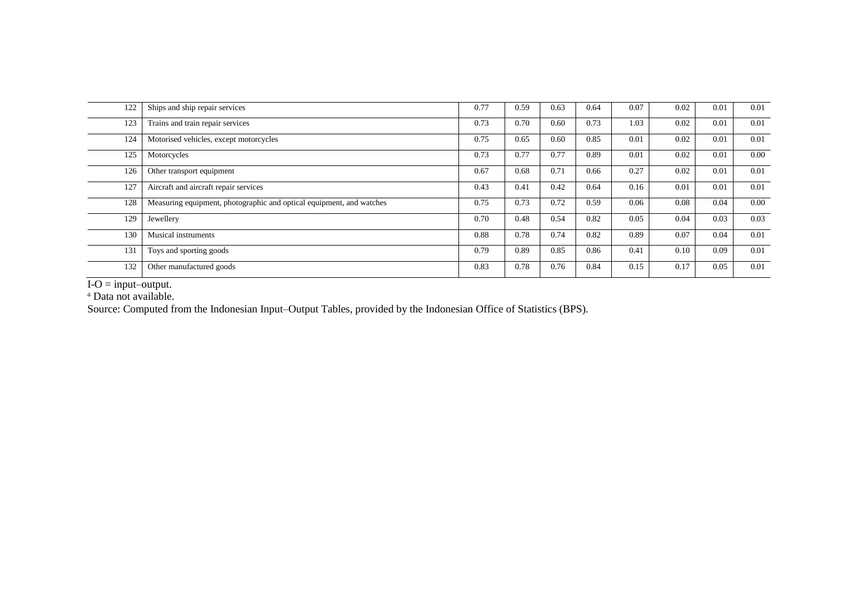| 122 | Ships and ship repair services                                       | 0.77 | 0.59 | 0.63 | 0.64 | 0.07 | 0.02 | 0.01 | 0.01 |
|-----|----------------------------------------------------------------------|------|------|------|------|------|------|------|------|
| 123 | Trains and train repair services                                     | 0.73 | 0.70 | 0.60 | 0.73 | 1.03 | 0.02 | 0.01 | 0.01 |
| 124 | Motorised vehicles, except motorcycles                               | 0.75 | 0.65 | 0.60 | 0.85 | 0.01 | 0.02 | 0.01 | 0.01 |
| 125 | Motorcycles                                                          | 0.73 | 0.77 | 0.77 | 0.89 | 0.01 | 0.02 | 0.01 | 0.00 |
| 126 | Other transport equipment                                            | 0.67 | 0.68 | 0.71 | 0.66 | 0.27 | 0.02 | 0.01 | 0.01 |
| 127 | Aircraft and aircraft repair services                                | 0.43 | 0.41 | 0.42 | 0.64 | 0.16 | 0.01 | 0.01 | 0.01 |
| 128 | Measuring equipment, photographic and optical equipment, and watches | 0.75 | 0.73 | 0.72 | 0.59 | 0.06 | 0.08 | 0.04 | 0.00 |
| 129 | Jewellery                                                            | 0.70 | 0.48 | 0.54 | 0.82 | 0.05 | 0.04 | 0.03 | 0.03 |
| 130 | Musical instruments                                                  | 0.88 | 0.78 | 0.74 | 0.82 | 0.89 | 0.07 | 0.04 | 0.01 |
| 131 | Toys and sporting goods                                              | 0.79 | 0.89 | 0.85 | 0.86 | 0.41 | 0.10 | 0.09 | 0.01 |
| 132 | Other manufactured goods                                             | 0.83 | 0.78 | 0.76 | 0.84 | 0.15 | 0.17 | 0.05 | 0.01 |

 $I-O = input–output.$ 

<sup>a</sup> Data not available.

Source: Computed from the Indonesian Input–Output Tables, provided by the Indonesian Office of Statistics (BPS).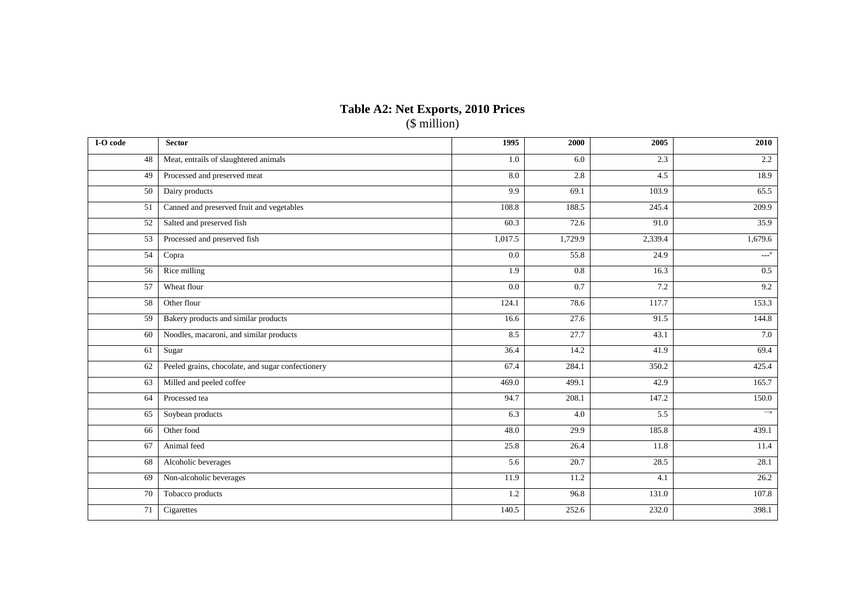### **Table A2: Net Exports, 2010 Prices** (\$ million)

| I-O code | <b>Sector</b>                                     | 1995    | 2000    | 2005             | 2010                    |
|----------|---------------------------------------------------|---------|---------|------------------|-------------------------|
| 48       | Meat, entrails of slaughtered animals             | 1.0     | 6.0     | 2.3              | 2.2                     |
| 49       | Processed and preserved meat                      | 8.0     | 2.8     | 4.5              | 18.9                    |
| 50       | Dairy products                                    | 9.9     | 69.1    | 103.9            | 65.5                    |
| 51       | Canned and preserved fruit and vegetables         | 108.8   | 188.5   | 245.4            | 209.9                   |
| 52       | Salted and preserved fish                         | 60.3    | 72.6    | 91.0             | 35.9                    |
| 53       | Processed and preserved fish                      | 1,017.5 | 1,729.9 | 2,339.4          | 1,679.6                 |
| 54       | Copra                                             | $0.0\,$ | 55.8    | 24.9             | $\text{---}^{\text{a}}$ |
| 56       | Rice milling                                      | 1.9     | 0.8     | 16.3             | 0.5                     |
| 57       | Wheat flour                                       | 0.0     | 0.7     | 7.2              | 9.2                     |
| 58       | Other flour                                       | 124.1   | 78.6    | 117.7            | 153.3                   |
| 59       | Bakery products and similar products              | 16.6    | 27.6    | 91.5             | 144.8                   |
| 60       | Noodles, macaroni, and similar products           | 8.5     | 27.7    | 43.1             | 7.0                     |
| 61       | Sugar                                             | 36.4    | 14.2    | 41.9             | 69.4                    |
| 62       | Peeled grains, chocolate, and sugar confectionery | 67.4    | 284.1   | 350.2            | 425.4                   |
| 63       | Milled and peeled coffee                          | 469.0   | 499.1   | 42.9             | 165.7                   |
| 64       | Processed tea                                     | 94.7    | 208.1   | 147.2            | 150.0                   |
| 65       | Soybean products                                  | 6.3     | 4.0     | $\overline{5.5}$ | $--a$                   |
| 66       | Other food                                        | 48.0    | 29.9    | 185.8            | 439.1                   |
| 67       | Animal feed                                       | 25.8    | 26.4    | 11.8             | 11.4                    |
| 68       | Alcoholic beverages                               | 5.6     | 20.7    | 28.5             | 28.1                    |
| 69       | Non-alcoholic beverages                           | 11.9    | 11.2    | 4.1              | 26.2                    |
| 70       | Tobacco products                                  | 1.2     | 96.8    | 131.0            | 107.8                   |
| 71       | Cigarettes                                        | 140.5   | 252.6   | 232.0            | 398.1                   |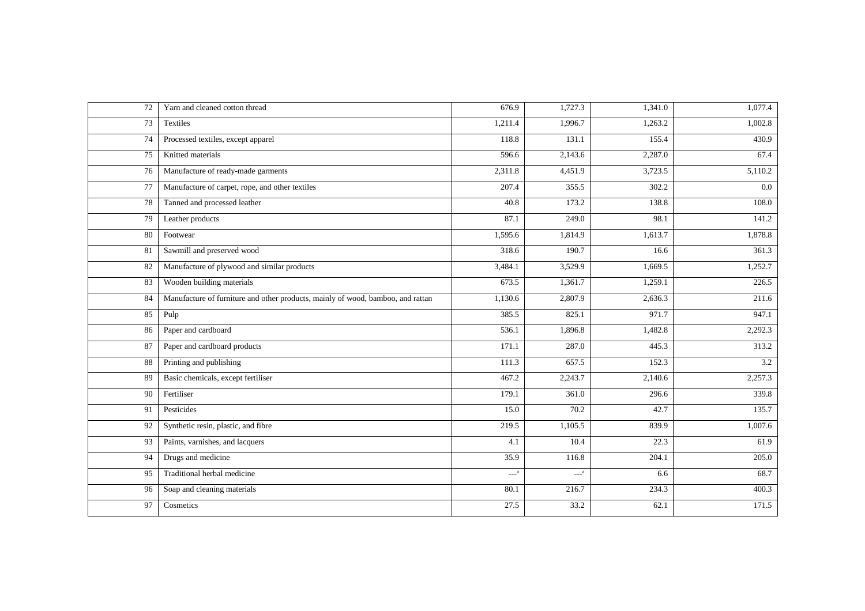| 72 | Yarn and cleaned cotton thread                                                  | 676.9   | 1,727.3 | 1,341.0 | 1,077.4 |
|----|---------------------------------------------------------------------------------|---------|---------|---------|---------|
| 73 | Textiles                                                                        | 1,211.4 | 1,996.7 | 1,263.2 | 1,002.8 |
| 74 | Processed textiles, except apparel                                              | 118.8   | 131.1   | 155.4   | 430.9   |
| 75 | Knitted materials                                                               | 596.6   | 2,143.6 | 2,287.0 | 67.4    |
| 76 | Manufacture of ready-made garments                                              | 2,311.8 | 4,451.9 | 3,723.5 | 5,110.2 |
| 77 | Manufacture of carpet, rope, and other textiles                                 | 207.4   | 355.5   | 302.2   | $0.0\,$ |
| 78 | Tanned and processed leather                                                    | 40.8    | 173.2   | 138.8   | 108.0   |
| 79 | Leather products                                                                | 87.1    | 249.0   | 98.1    | 141.2   |
| 80 | Footwear                                                                        | 1,595.6 | 1,814.9 | 1,613.7 | 1,878.8 |
| 81 | Sawmill and preserved wood                                                      | 318.6   | 190.7   | 16.6    | 361.3   |
| 82 | Manufacture of plywood and similar products                                     | 3,484.1 | 3,529.9 | 1,669.5 | 1,252.7 |
| 83 | Wooden building materials                                                       | 673.5   | 1,361.7 | 1,259.1 | 226.5   |
| 84 | Manufacture of furniture and other products, mainly of wood, bamboo, and rattan | 1,130.6 | 2,807.9 | 2,636.3 | 211.6   |
| 85 | Pulp                                                                            | 385.5   | 825.1   | 971.7   | 947.1   |
| 86 | Paper and cardboard                                                             | 536.1   | 1,896.8 | 1,482.8 | 2,292.3 |
| 87 | Paper and cardboard products                                                    | 171.1   | 287.0   | 445.3   | 313.2   |
| 88 | Printing and publishing                                                         | 111.3   | 657.5   | 152.3   | 3.2     |
| 89 | Basic chemicals, except fertiliser                                              | 467.2   | 2,243.7 | 2,140.6 | 2,257.3 |
| 90 | Fertiliser                                                                      | 179.1   | 361.0   | 296.6   | 339.8   |
| 91 | Pesticides                                                                      | 15.0    | 70.2    | 42.7    | 135.7   |
| 92 | Synthetic resin, plastic, and fibre                                             | 219.5   | 1,105.5 | 839.9   | 1,007.6 |
| 93 | Paints, varnishes, and lacquers                                                 | 4.1     | 10.4    | 22.3    | 61.9    |
| 94 | Drugs and medicine                                                              | 35.9    | 116.8   | 204.1   | 205.0   |
| 95 | Traditional herbal medicine                                                     | $---a$  | $---a$  | 6.6     | 68.7    |
| 96 | Soap and cleaning materials                                                     | 80.1    | 216.7   | 234.3   | 400.3   |
| 97 | Cosmetics                                                                       | 27.5    | 33.2    | 62.1    | 171.5   |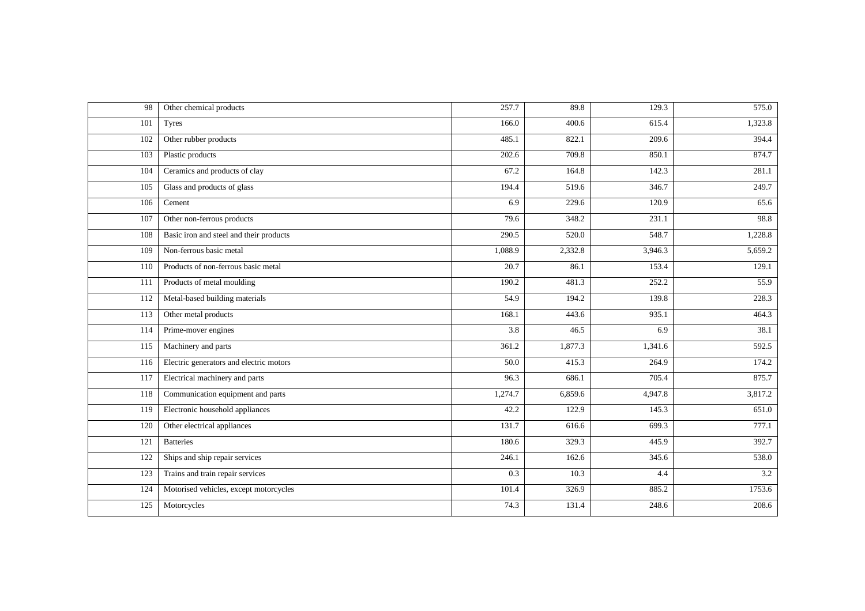| 98  | Other chemical products                 | 257.7            | 89.8    | 129.3   | 575.0   |
|-----|-----------------------------------------|------------------|---------|---------|---------|
| 101 | <b>Tyres</b>                            | 166.0            | 400.6   | 615.4   | 1,323.8 |
| 102 | Other rubber products                   | 485.1            | 822.1   | 209.6   | 394.4   |
| 103 | Plastic products                        | 202.6            | 709.8   | 850.1   | 874.7   |
| 104 | Ceramics and products of clay           | 67.2             | 164.8   | 142.3   | 281.1   |
| 105 | Glass and products of glass             | 194.4            | 519.6   | 346.7   | 249.7   |
| 106 | Cement                                  | 6.9              | 229.6   | 120.9   | 65.6    |
| 107 | Other non-ferrous products              | 79.6             | 348.2   | 231.1   | 98.8    |
| 108 | Basic iron and steel and their products | 290.5            | 520.0   | 548.7   | 1,228.8 |
| 109 | Non-ferrous basic metal                 | 1,088.9          | 2,332.8 | 3,946.3 | 5,659.2 |
| 110 | Products of non-ferrous basic metal     | 20.7             | 86.1    | 153.4   | 129.1   |
| 111 | Products of metal moulding              | 190.2            | 481.3   | 252.2   | 55.9    |
| 112 | Metal-based building materials          | 54.9             | 194.2   | 139.8   | 228.3   |
| 113 | Other metal products                    | 168.1            | 443.6   | 935.1   | 464.3   |
| 114 | Prime-mover engines                     | 3.8              | 46.5    | 6.9     | 38.1    |
| 115 | Machinery and parts                     | 361.2            | 1,877.3 | 1,341.6 | 592.5   |
| 116 | Electric generators and electric motors | 50.0             | 415.3   | 264.9   | 174.2   |
| 117 | Electrical machinery and parts          | 96.3             | 686.1   | 705.4   | 875.7   |
| 118 | Communication equipment and parts       | 1,274.7          | 6,859.6 | 4,947.8 | 3,817.2 |
| 119 | Electronic household appliances         | 42.2             | 122.9   | 145.3   | 651.0   |
| 120 | Other electrical appliances             | 131.7            | 616.6   | 699.3   | 777.1   |
| 121 | <b>Batteries</b>                        | 180.6            | 329.3   | 445.9   | 392.7   |
| 122 | Ships and ship repair services          | 246.1            | 162.6   | 345.6   | 538.0   |
| 123 | Trains and train repair services        | $\overline{0.3}$ | 10.3    | 4.4     | 3.2     |
| 124 | Motorised vehicles, except motorcycles  | 101.4            | 326.9   | 885.2   | 1753.6  |
| 125 | Motorcycles                             | 74.3             | 131.4   | 248.6   | 208.6   |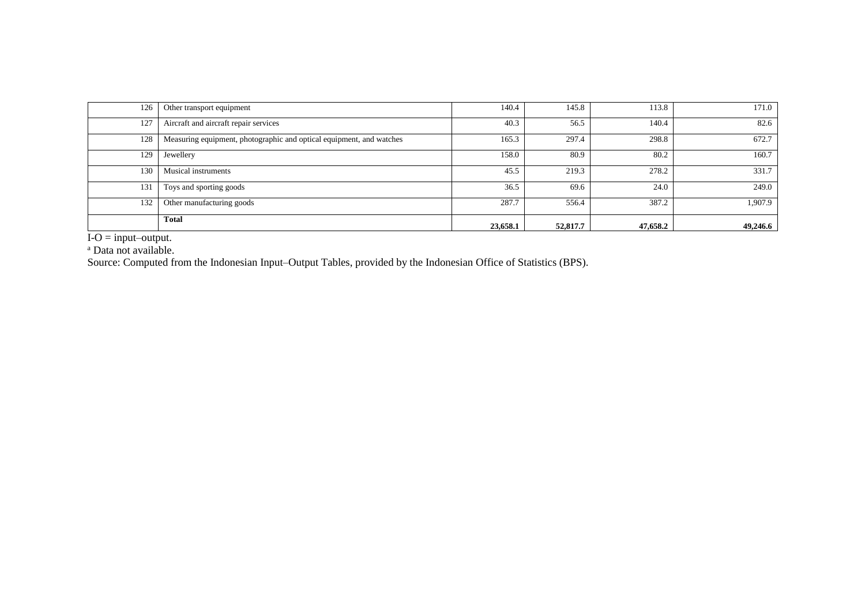| 126 | Other transport equipment                                            | 140.4    | 145.8    | 113.8    | 171.0    |
|-----|----------------------------------------------------------------------|----------|----------|----------|----------|
| 127 | Aircraft and aircraft repair services                                | 40.3     | 56.5     | 140.4    | 82.6     |
| 128 | Measuring equipment, photographic and optical equipment, and watches | 165.3    | 297.4    | 298.8    | 672.7    |
| 129 | Jewellery                                                            | 158.0    | 80.9     | 80.2     | 160.7    |
| 130 | <b>Musical instruments</b>                                           | 45.5     | 219.3    | 278.2    | 331.7    |
| 131 | Toys and sporting goods                                              | 36.5     | 69.6     | 24.0     | 249.0    |
| 132 | Other manufacturing goods                                            | 287.7    | 556.4    | 387.2    | 1,907.9  |
|     | <b>Total</b>                                                         | 23,658.1 | 52,817.7 | 47,658.2 | 49,246.6 |

 $I-O = input–output.$ 

<sup>a</sup> Data not available.

Source: Computed from the Indonesian Input–Output Tables, provided by the Indonesian Office of Statistics (BPS).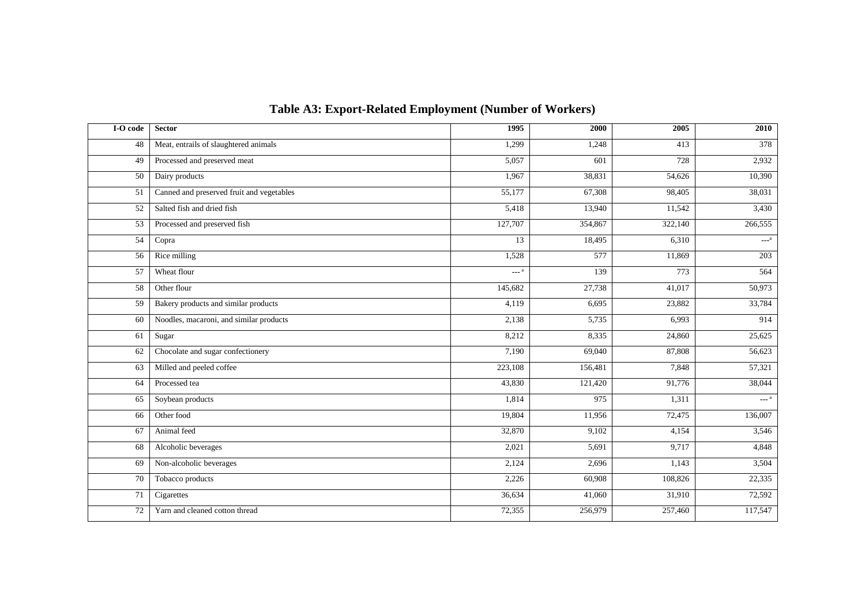| I-O code | <b>Sector</b>                             | 1995    | 2000    | 2005    | 2010                    |
|----------|-------------------------------------------|---------|---------|---------|-------------------------|
| 48       | Meat, entrails of slaughtered animals     | 1,299   | 1,248   | 413     | 378                     |
| 49       | Processed and preserved meat              | 5,057   | 601     | 728     | 2,932                   |
| 50       | Dairy products                            | 1,967   | 38,831  | 54,626  | 10,390                  |
| 51       | Canned and preserved fruit and vegetables | 55,177  | 67,308  | 98,405  | 38,031                  |
| 52       | Salted fish and dried fish                | 5,418   | 13,940  | 11,542  | 3,430                   |
| 53       | Processed and preserved fish              | 127,707 | 354,867 | 322,140 | 266,555                 |
| 54       | Copra                                     | 13      | 18,495  | 6,310   | $\text{---}^{\text{a}}$ |
| 56       | Rice milling                              | 1,528   | 577     | 11,869  | 203                     |
| 57       | Wheat flour                               | $---a$  | 139     | 773     | 564                     |
| 58       | Other flour                               | 145,682 | 27,738  | 41,017  | 50,973                  |
| 59       | Bakery products and similar products      | 4,119   | 6,695   | 23,882  | 33,784                  |
| 60       | Noodles, macaroni, and similar products   | 2,138   | 5,735   | 6,993   | 914                     |
| 61       | Sugar                                     | 8,212   | 8,335   | 24,860  | 25,625                  |
| 62       | Chocolate and sugar confectionery         | 7,190   | 69,040  | 87,808  | 56,623                  |
| 63       | Milled and peeled coffee                  | 223,108 | 156,481 | 7,848   | 57,321                  |
| 64       | Processed tea                             | 43,830  | 121,420 | 91,776  | 38,044                  |
| 65       | Soybean products                          | 1,814   | 975     | 1,311   | $---a$                  |
| 66       | Other food                                | 19,804  | 11,956  | 72,475  | 136,007                 |
| 67       | Animal feed                               | 32,870  | 9,102   | 4,154   | 3,546                   |
| 68       | Alcoholic beverages                       | 2,021   | 5,691   | 9,717   | 4,848                   |
| 69       | Non-alcoholic beverages                   | 2,124   | 2,696   | 1,143   | 3,504                   |
| 70       | Tobacco products                          | 2,226   | 60,908  | 108,826 | 22,335                  |
| 71       | Cigarettes                                | 36,634  | 41,060  | 31,910  | 72,592                  |
| 72       | Yarn and cleaned cotton thread            | 72,355  | 256,979 | 257,460 | 117,547                 |

## **Table A3: Export-Related Employment (Number of Workers)**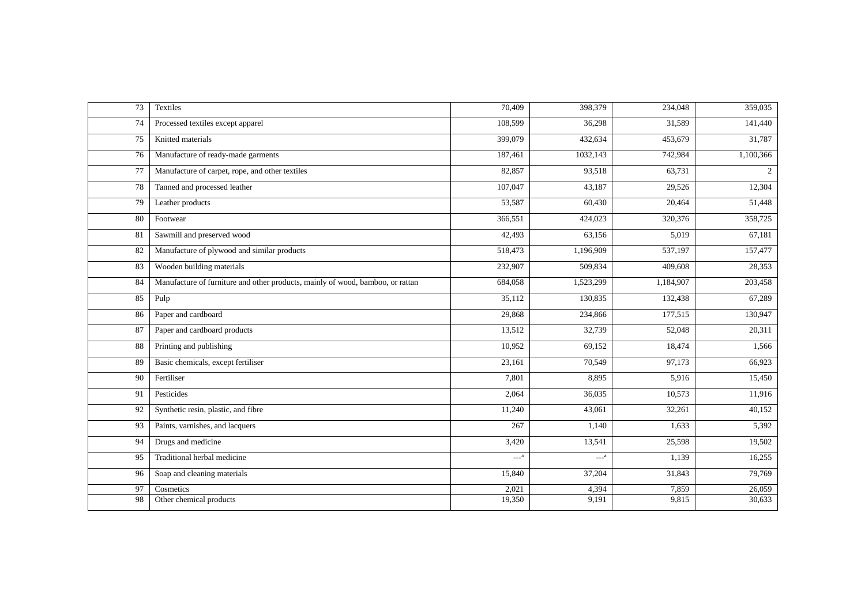| 73 | Textiles                                                                       | 70,409  | 398,379   | 234,048   | 359,035   |
|----|--------------------------------------------------------------------------------|---------|-----------|-----------|-----------|
| 74 | Processed textiles except apparel                                              | 108,599 | 36,298    | 31,589    | 141,440   |
| 75 | Knitted materials                                                              | 399,079 | 432,634   | 453,679   | 31,787    |
| 76 | Manufacture of ready-made garments                                             | 187,461 | 1032,143  | 742,984   | 1,100,366 |
| 77 | Manufacture of carpet, rope, and other textiles                                | 82,857  | 93,518    | 63,731    | 2         |
| 78 | Tanned and processed leather                                                   | 107,047 | 43,187    | 29,526    | 12,304    |
| 79 | Leather products                                                               | 53,587  | 60,430    | 20,464    | 51,448    |
| 80 | Footwear                                                                       | 366,551 | 424,023   | 320,376   | 358,725   |
| 81 | Sawmill and preserved wood                                                     | 42,493  | 63,156    | 5,019     | 67,181    |
| 82 | Manufacture of plywood and similar products                                    | 518,473 | 1,196,909 | 537,197   | 157,477   |
| 83 | Wooden building materials                                                      | 232,907 | 509,834   | 409,608   | 28,353    |
| 84 | Manufacture of furniture and other products, mainly of wood, bamboo, or rattan | 684,058 | 1,523,299 | 1,184,907 | 203,458   |
| 85 | Pulp                                                                           | 35,112  | 130,835   | 132,438   | 67,289    |
| 86 | Paper and cardboard                                                            | 29,868  | 234,866   | 177,515   | 130,947   |
| 87 | Paper and cardboard products                                                   | 13,512  | 32,739    | 52,048    | 20,311    |
| 88 | Printing and publishing                                                        | 10,952  | 69,152    | 18,474    | 1,566     |
| 89 | Basic chemicals, except fertiliser                                             | 23,161  | 70,549    | 97,173    | 66,923    |
| 90 | Fertiliser                                                                     | 7,801   | 8,895     | 5,916     | 15,450    |
| 91 | Pesticides                                                                     | 2,064   | 36,035    | 10,573    | 11,916    |
| 92 | Synthetic resin, plastic, and fibre                                            | 11,240  | 43,061    | 32,261    | 40,152    |
| 93 | Paints, varnishes, and lacquers                                                | 267     | 1,140     | 1,633     | 5,392     |
| 94 | Drugs and medicine                                                             | 3,420   | 13,541    | 25,598    | 19,502    |
| 95 | Traditional herbal medicine                                                    | $---a$  | $---a$    | 1,139     | 16,255    |
| 96 | Soap and cleaning materials                                                    | 15,840  | 37,204    | 31,843    | 79,769    |
| 97 | Cosmetics                                                                      | 2,021   | 4,394     | 7,859     | 26,059    |
| 98 | Other chemical products                                                        | 19,350  | 9,191     | 9,815     | 30,633    |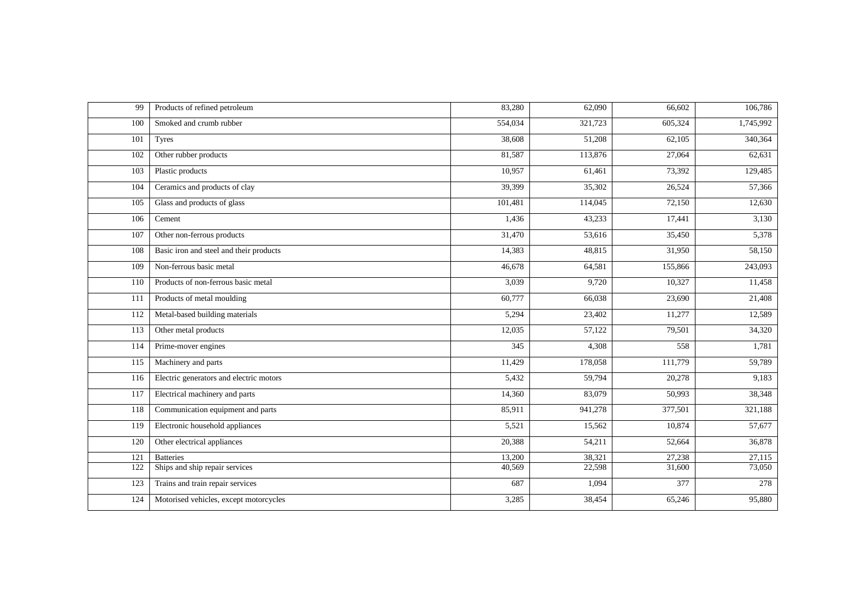| 99  | Products of refined petroleum           | 83,280  | 62,090              | 66,602  | 106,786   |
|-----|-----------------------------------------|---------|---------------------|---------|-----------|
| 100 | Smoked and crumb rubber                 | 554,034 | 321,723             | 605,324 | 1,745,992 |
| 101 | <b>Tyres</b>                            | 38,608  | 51,208              | 62,105  | 340,364   |
| 102 | Other rubber products                   | 81,587  | 113,876             | 27,064  | 62,631    |
| 103 | Plastic products                        | 10,957  | 61,461              | 73,392  | 129,485   |
| 104 | Ceramics and products of clay           | 39,399  | $\overline{35,302}$ | 26,524  | 57,366    |
| 105 | Glass and products of glass             | 101,481 | 114,045             | 72,150  | 12,630    |
| 106 | Cement                                  | 1,436   | 43,233              | 17,441  | 3,130     |
| 107 | Other non-ferrous products              | 31,470  | 53,616              | 35,450  | 5,378     |
| 108 | Basic iron and steel and their products | 14,383  | 48,815              | 31,950  | 58,150    |
| 109 | Non-ferrous basic metal                 | 46,678  | 64,581              | 155,866 | 243,093   |
| 110 | Products of non-ferrous basic metal     | 3,039   | 9,720               | 10,327  | 11,458    |
| 111 | Products of metal moulding              | 60,777  | 66,038              | 23,690  | 21,408    |
| 112 | Metal-based building materials          | 5,294   | 23,402              | 11,277  | 12,589    |
| 113 | Other metal products                    | 12,035  | 57,122              | 79,501  | 34,320    |
| 114 | Prime-mover engines                     | 345     | 4,308               | 558     | 1,781     |
| 115 | Machinery and parts                     | 11,429  | 178,058             | 111,779 | 59,789    |
| 116 | Electric generators and electric motors | 5,432   | 59,794              | 20,278  | 9,183     |
| 117 | Electrical machinery and parts          | 14,360  | 83,079              | 50,993  | 38,348    |
| 118 | Communication equipment and parts       | 85,911  | 941,278             | 377,501 | 321,188   |
| 119 | Electronic household appliances         | 5,521   | 15,562              | 10,874  | 57,677    |
| 120 | Other electrical appliances             | 20,388  | 54,211              | 52,664  | 36,878    |
| 121 | <b>Batteries</b>                        | 13,200  | 38,321              | 27,238  | 27,115    |
| 122 | Ships and ship repair services          | 40,569  | 22,598              | 31,600  | 73,050    |
| 123 | Trains and train repair services        | 687     | 1,094               | 377     | 278       |
| 124 | Motorised vehicles, except motorcycles  | 3,285   | 38,454              | 65,246  | 95,880    |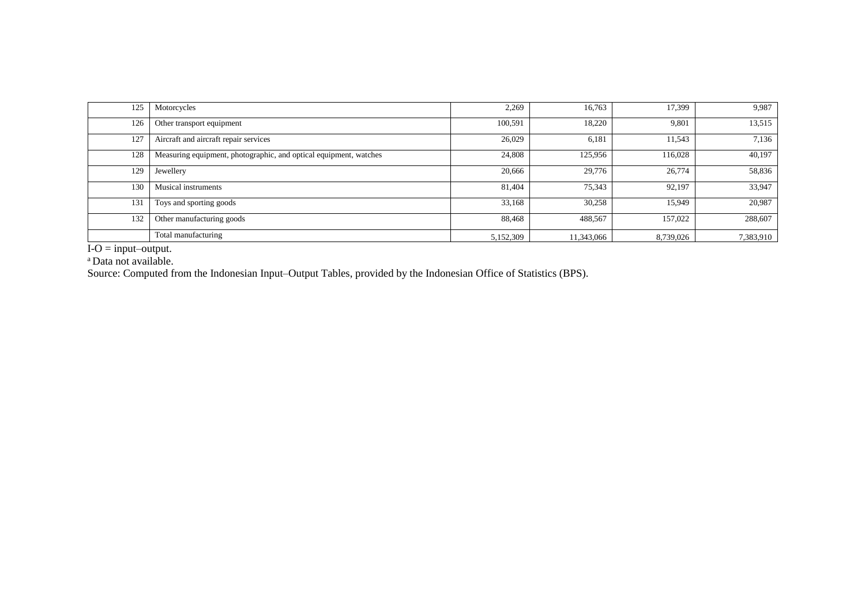| 125 | Motorcycles                                                       | 2,269     | 16,763     | 17,399    | 9,987     |
|-----|-------------------------------------------------------------------|-----------|------------|-----------|-----------|
| 126 | Other transport equipment                                         | 100,591   | 18,220     | 9,801     | 13,515    |
| 127 | Aircraft and aircraft repair services                             | 26,029    | 6,181      | 11,543    | 7,136     |
| 128 | Measuring equipment, photographic, and optical equipment, watches | 24,808    | 125,956    | 116,028   | 40,197    |
| 129 | Jewellery                                                         | 20,666    | 29,776     | 26,774    | 58,836    |
| 130 | Musical instruments                                               | 81,404    | 75,343     | 92,197    | 33,947    |
| 131 | Toys and sporting goods                                           | 33,168    | 30,258     | 15,949    | 20,987    |
| 132 | Other manufacturing goods                                         | 88,468    | 488,567    | 157,022   | 288,607   |
|     | Total manufacturing                                               | 5,152,309 | 11,343,066 | 8,739,026 | 7,383,910 |

 $I-O = input–output.$ 

<sup>a</sup> Data not available.

Source: Computed from the Indonesian Input–Output Tables, provided by the Indonesian Office of Statistics (BPS).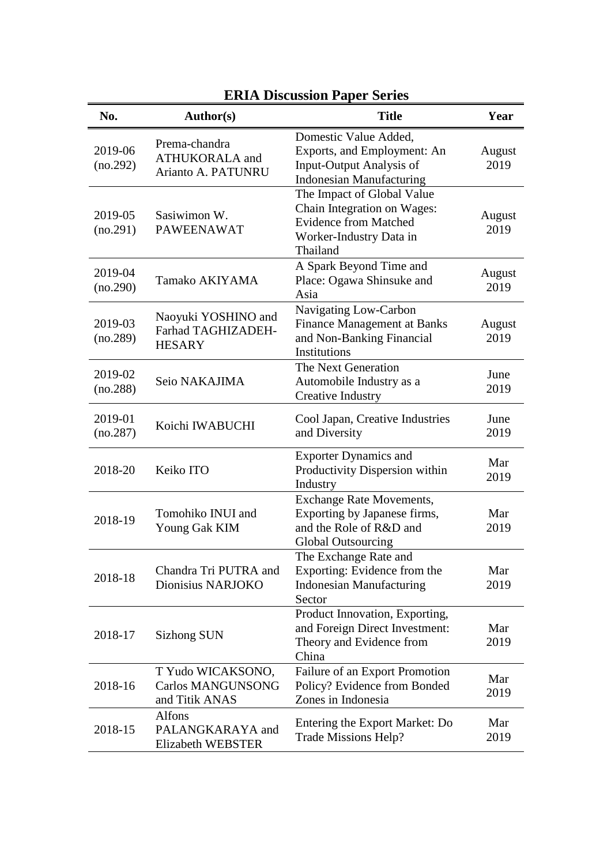| <b>ERIA Discussion Paper Series</b> |                                                                 |                                                                                                                                  |                |  |  |
|-------------------------------------|-----------------------------------------------------------------|----------------------------------------------------------------------------------------------------------------------------------|----------------|--|--|
| No.                                 | Author(s)                                                       | <b>Title</b>                                                                                                                     | Year           |  |  |
| 2019-06<br>(no.292)                 | Prema-chandra<br><b>ATHUKORALA</b> and<br>Arianto A. PATUNRU    | Domestic Value Added,<br>Exports, and Employment: An<br>Input-Output Analysis of<br><b>Indonesian Manufacturing</b>              | August<br>2019 |  |  |
| 2019-05<br>(no.291)                 | Sasiwimon W.<br><b>PAWEENAWAT</b>                               | The Impact of Global Value<br>Chain Integration on Wages:<br><b>Evidence from Matched</b><br>Worker-Industry Data in<br>Thailand | August<br>2019 |  |  |
| 2019-04<br>(no.290)                 | Tamako AKIYAMA                                                  | A Spark Beyond Time and<br>Place: Ogawa Shinsuke and<br>Asia                                                                     | August<br>2019 |  |  |
| 2019-03<br>(no.289)                 | Naoyuki YOSHINO and<br>Farhad TAGHIZADEH-<br><b>HESARY</b>      | Navigating Low-Carbon<br><b>Finance Management at Banks</b><br>and Non-Banking Financial<br>Institutions                         | August<br>2019 |  |  |
| 2019-02<br>(no.288)                 | Seio NAKAJIMA                                                   | The Next Generation<br>Automobile Industry as a<br><b>Creative Industry</b>                                                      | June<br>2019   |  |  |
| 2019-01<br>(no.287)                 | Koichi IWABUCHI                                                 | Cool Japan, Creative Industries<br>and Diversity                                                                                 | June<br>2019   |  |  |
| 2018-20                             | Keiko ITO                                                       | <b>Exporter Dynamics and</b><br>Productivity Dispersion within<br>Industry                                                       | Mar<br>2019    |  |  |
| 2018-19                             | Tomohiko INUI and<br>Young Gak KIM                              | <b>Exchange Rate Movements,</b><br>Exporting by Japanese firms,<br>and the Role of R&D and<br><b>Global Outsourcing</b>          | Mar<br>2019    |  |  |
| 2018-18                             | Chandra Tri PUTRA and<br>Dionisius NARJOKO                      | The Exchange Rate and<br>Exporting: Evidence from the<br><b>Indonesian Manufacturing</b><br>Sector                               | Mar<br>2019    |  |  |
| 2018-17                             | Sizhong SUN                                                     | Product Innovation, Exporting,<br>and Foreign Direct Investment:<br>Theory and Evidence from<br>China                            | Mar<br>2019    |  |  |
| 2018-16                             | T Yudo WICAKSONO,<br><b>Carlos MANGUNSONG</b><br>and Titik ANAS | Failure of an Export Promotion<br>Policy? Evidence from Bonded<br>Zones in Indonesia                                             | Mar<br>2019    |  |  |
| 2018-15                             | Alfons<br>PALANGKARAYA and<br>Elizabeth WEBSTER                 | Entering the Export Market: Do<br>Trade Missions Help?                                                                           | Mar<br>2019    |  |  |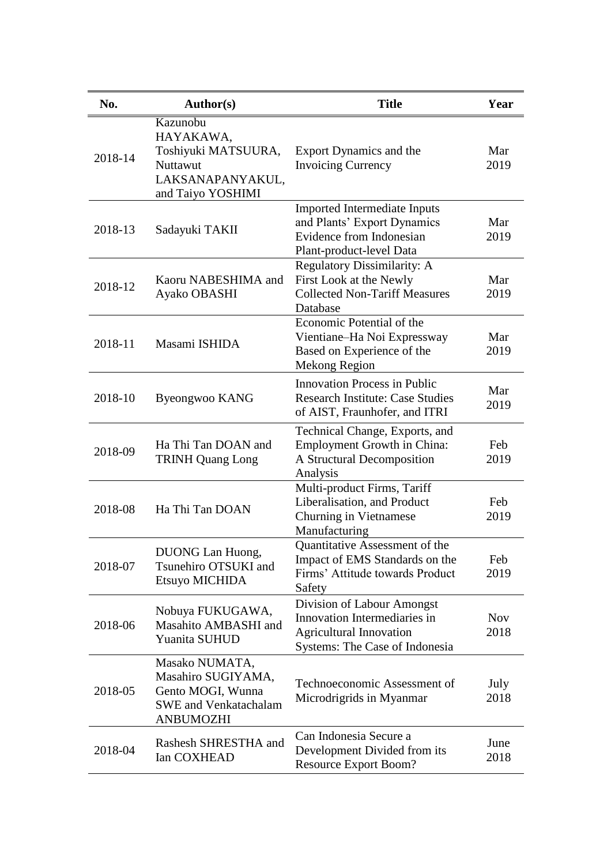| No.     | <b>Author(s)</b>                                                                                              | <b>Title</b>                                                                                                                   | Year               |
|---------|---------------------------------------------------------------------------------------------------------------|--------------------------------------------------------------------------------------------------------------------------------|--------------------|
| 2018-14 | Kazunobu<br>HAYAKAWA,<br>Toshiyuki MATSUURA,<br>Nuttawut<br>LAKSANAPANYAKUL,<br>and Taiyo YOSHIMI             | Export Dynamics and the<br><b>Invoicing Currency</b>                                                                           | Mar<br>2019        |
| 2018-13 | Sadayuki TAKII                                                                                                | <b>Imported Intermediate Inputs</b><br>and Plants' Export Dynamics<br>Evidence from Indonesian<br>Plant-product-level Data     | Mar<br>2019        |
| 2018-12 | Kaoru NABESHIMA and<br>Ayako OBASHI                                                                           | <b>Regulatory Dissimilarity: A</b><br>First Look at the Newly<br><b>Collected Non-Tariff Measures</b><br>Database              | Mar<br>2019        |
| 2018-11 | Masami ISHIDA                                                                                                 | Economic Potential of the<br>Vientiane-Ha Noi Expressway<br>Based on Experience of the<br>Mekong Region                        | Mar<br>2019        |
| 2018-10 | Byeongwoo KANG                                                                                                | <b>Innovation Process in Public</b><br><b>Research Institute: Case Studies</b><br>of AIST, Fraunhofer, and ITRI                | Mar<br>2019        |
| 2018-09 | Ha Thi Tan DOAN and<br><b>TRINH Quang Long</b>                                                                | Technical Change, Exports, and<br><b>Employment Growth in China:</b><br>A Structural Decomposition<br>Analysis                 | Feb<br>2019        |
| 2018-08 | Ha Thi Tan DOAN                                                                                               | Multi-product Firms, Tariff<br>Liberalisation, and Product<br>Churning in Vietnamese<br>Manufacturing                          | Feb<br>2019        |
| 2018-07 | DUONG Lan Huong,<br>Tsunehiro OTSUKI and<br>Etsuyo MICHIDA                                                    | <b>Quantitative Assessment of the</b><br>Impact of EMS Standards on the<br>Firms' Attitude towards Product<br>Safety           | Feb<br>2019        |
| 2018-06 | Nobuya FUKUGAWA,<br>Masahito AMBASHI and<br>Yuanita SUHUD                                                     | Division of Labour Amongst<br>Innovation Intermediaries in<br><b>Agricultural Innovation</b><br>Systems: The Case of Indonesia | <b>Nov</b><br>2018 |
| 2018-05 | Masako NUMATA,<br>Masahiro SUGIYAMA,<br>Gento MOGI, Wunna<br><b>SWE</b> and Venkatachalam<br><b>ANBUMOZHI</b> | Technoeconomic Assessment of<br>Microdrigrids in Myanmar                                                                       | July<br>2018       |
| 2018-04 | Rashesh SHRESTHA and<br>Ian COXHEAD                                                                           | Can Indonesia Secure a<br>Development Divided from its<br><b>Resource Export Boom?</b>                                         | June<br>2018       |